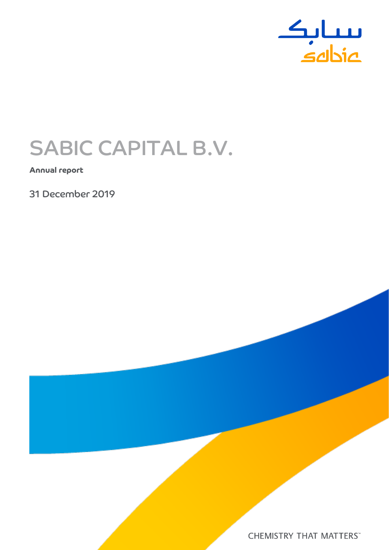

# SABIC CAPITAL B.V.

**Annual report**

31 December 2019

**CHEMISTRY THAT MATTERS**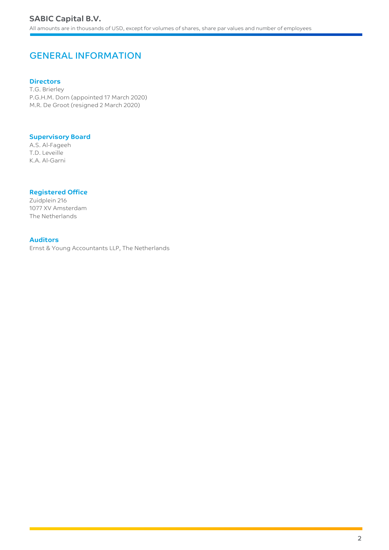# GENERAL INFORMATION

# **Directors**

T.G. Brierley P.G.H.M. Dorn (appointed 17 March 2020) M.R. De Groot (resigned 2 March 2020)

# **Supervisory Board**

A.S. Al-Fageeh T.D. Leveille K.A. Al-Garni

# **Registered Office**

Zuidplein 216 1077 XV Amsterdam The Netherlands

# **Auditors**

Ernst & Young Accountants LLP, The Netherlands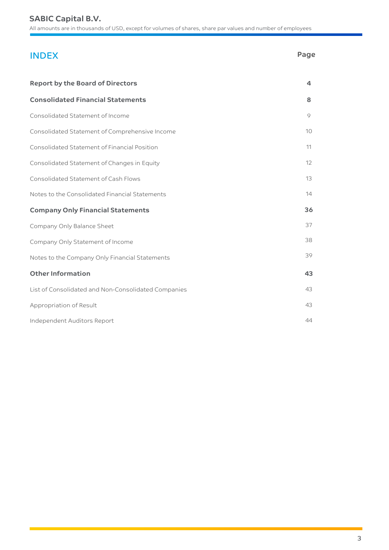# **SABIC Capital B.V.**

All amounts are in thousands of USD, except for volumes of shares, share par values and number of employees

# INDEX **Page**

| <b>Report by the Board of Directors</b>             | $\overline{\mathbf{a}}$ |
|-----------------------------------------------------|-------------------------|
| <b>Consolidated Financial Statements</b>            | 8                       |
| Consolidated Statement of Income                    | 9                       |
| Consolidated Statement of Comprehensive Income      | 10 <sup>°</sup>         |
| Consolidated Statement of Financial Position        | 11                      |
| Consolidated Statement of Changes in Equity         | 12                      |
| Consolidated Statement of Cash Flows                | 13                      |
| Notes to the Consolidated Financial Statements      | 14                      |
| <b>Company Only Financial Statements</b>            | 36                      |
| Company Only Balance Sheet                          | 37                      |
| Company Only Statement of Income                    | 38                      |
| Notes to the Company Only Financial Statements      | 39                      |
| <b>Other Information</b>                            | 43                      |
| List of Consolidated and Non-Consolidated Companies | 43                      |
| Appropriation of Result                             | 43                      |
| Independent Auditors Report                         | 44                      |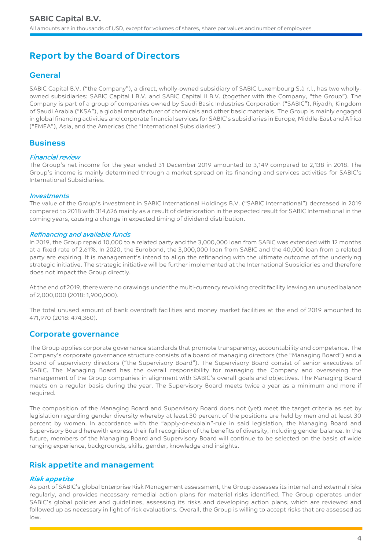# **Report by the Board of Directors**

# **General**

SABIC Capital B.V. ("the Company"), a direct, wholly-owned subsidiary of SABIC Luxembourg S.à r.l., has two whollyowned subsidiaries: SABIC Capital I B.V. and SABIC Capital II B.V. (together with the Company, "the Group"). The Company is part of a group of companies owned by Saudi Basic Industries Corporation ("SABIC"), Riyadh, Kingdom of Saudi Arabia ("KSA"), a global manufacturer of chemicals and other basic materials. The Group is mainly engaged in global financing activities and corporate financial services for SABIC's subsidiaries in Europe, Middle-East and Africa ("EMEA"), Asia, and the Americas (the "International Subsidiaries").

# **Business**

# Financial review

The Group's net income for the year ended 31 December 2019 amounted to 3,149 compared to 2,138 in 2018. The Group's income is mainly determined through a market spread on its financing and services activities for SABIC's International Subsidiaries.

# **Investments**

The value of the Group's investment in SABIC International Holdings B.V. ("SABIC International") decreased in 2019 compared to 2018 with 314,626 mainly as a result of deterioration in the expected result for SABIC International in the coming years, causing a change in expected timing of dividend distribution.

# Refinancing and available funds

In 2019, the Group repaid 10,000 to a related party and the 3,000,000 loan from SABIC was extended with 12 months at a fixed rate of 2.61%. In 2020, the Eurobond, the 3,000,000 loan from SABIC and the 40,000 loan from a related party are expiring. It is management's intend to align the refinancing with the ultimate outcome of the underlying strategic initiative. The strategic initiative will be further implemented at the International Subsidiaries and therefore does not impact the Group directly.

At the end of 2019, there were no drawings under the multi-currency revolving credit facility leaving an unused balance of 2,000,000 (2018: 1,900,000).

The total unused amount of bank overdraft facilities and money market facilities at the end of 2019 amounted to 471,970 (2018: 474,360).

# **Corporate governance**

The Group applies corporate governance standards that promote transparency, accountability and competence. The Company's corporate governance structure consists of a board of managing directors (the "Managing Board") and a board of supervisory directors ("the Supervisory Board"). The Supervisory Board consist of senior executives of SABIC. The Managing Board has the overall responsibility for managing the Company and overseeing the management of the Group companies in alignment with SABIC's overall goals and objectives. The Managing Board meets on a regular basis during the year. The Supervisory Board meets twice a year as a minimum and more if required.

The composition of the Managing Board and Supervisory Board does not (yet) meet the target criteria as set by legislation regarding gender diversity whereby at least 30 percent of the positions are held by men and at least 30 percent by women. In accordance with the "apply-or-explain"-rule in said legislation, the Managing Board and Supervisory Board herewith express their full recognition of the benefits of diversity, including gender balance. In the future, members of the Managing Board and Supervisory Board will continue to be selected on the basis of wide ranging experience, backgrounds, skills, gender, knowledge and insights.

# **Risk appetite and management**

# **Risk appetite**

As part of SABIC's global Enterprise Risk Management assessment, the Group assesses its internal and external risks regularly, and provides necessary remedial action plans for material risks identified. The Group operates under SABIC's global policies and guidelines, assessing its risks and developing action plans, which are reviewed and followed up as necessary in light of risk evaluations. Overall, the Group is willing to accept risks that are assessed as low.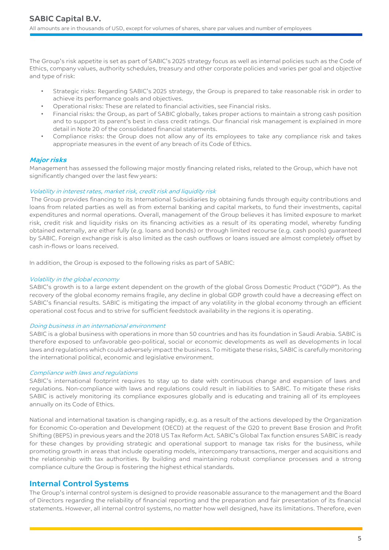The Group's risk appetite is set as part of SABIC's 2025 strategy focus as well as internal policies such as the Code of Ethics, company values, authority schedules, treasury and other corporate policies and varies per goal and objective and type of risk:

- Strategic risks: Regarding SABIC's 2025 strategy, the Group is prepared to take reasonable risk in order to achieve its performance goals and objectives.
- Operational risks: These are related to financial activities, see Financial risks.
- Financial risks: the Group, as part of SABIC globally, takes proper actions to maintain a strong cash position and to support its parent's best in class credit ratings. Our financial risk management is explained in more detail in Note 20 of the consolidated financial statements.
- Compliance risks: the Group does not allow any of its employees to take any compliance risk and takes appropriate measures in the event of any breach of its Code of Ethics.

# **Major risks**

Management has assessed the following major mostly financing related risks, related to the Group, which have not significantly changed over the last few years:

#### Volatility in interest rates, market risk, credit risk and liquidity risk

The Group provides financing to its International Subsidiaries by obtaining funds through equity contributions and loans from related parties as well as from external banking and capital markets, to fund their investments, capital expenditures and normal operations. Overall, management of the Group believes it has limited exposure to market risk, credit risk and liquidity risks on its financing activities as a result of its operating model, whereby funding obtained externally, are either fully (e.g. loans and bonds) or through limited recourse (e.g. cash pools) guaranteed by SABIC. Foreign exchange risk is also limited as the cash outflows or loans issued are almost completely offset by cash in-flows or loans received.

In addition, the Group is exposed to the following risks as part of SABIC:

#### Volatility in the global economy

SABIC's growth is to a large extent dependent on the growth of the global Gross Domestic Product ("GDP"). As the recovery of the global economy remains fragile, any decline in global GDP growth could have a decreasing effect on SABIC's financial results. SABIC is mitigating the impact of any volatility in the global economy through an efficient operational cost focus and to strive for sufficient feedstock availability in the regions it is operating.

#### Doing business in an international environment

SABIC is a global business with operations in more than 50 countries and has its foundation in Saudi Arabia. SABIC is therefore exposed to unfavorable geo-political, social or economic developments as well as developments in local laws and regulations which could adversely impact the business. To mitigate these risks, SABIC is carefully monitoring the international political, economic and legislative environment.

#### Compliance with laws and regulations

SABIC's international footprint requires to stay up to date with continuous change and expansion of laws and regulations. Non-compliance with laws and regulations could result in liabilities to SABIC. To mitigate these risks SABIC is actively monitoring its compliance exposures globally and is educating and training all of its employees annually on its Code of Ethics.

National and international taxation is changing rapidly, e.g. as a result of the actions developed by the Organization for Economic Co-operation and Development (OECD) at the request of the G20 to prevent Base Erosion and Profit Shifting (BEPS) in previous years and the 2018 US Tax Reform Act. SABIC's Global Tax function ensures SABIC is ready for these changes by providing strategic and operational support to manage tax risks for the business, while promoting growth in areas that include operating models, intercompany transactions, merger and acquisitions and the relationship with tax authorities. By building and maintaining robust compliance processes and a strong compliance culture the Group is fostering the highest ethical standards.

# **Internal Control Systems**

The Group's internal control system is designed to provide reasonable assurance to the management and the Board of Directors regarding the reliability of financial reporting and the preparation and fair presentation of its financial statements. However, all internal control systems, no matter how well designed, have its limitations. Therefore, even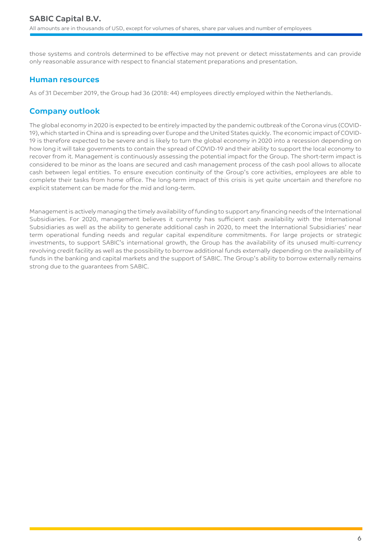those systems and controls determined to be effective may not prevent or detect misstatements and can provide only reasonable assurance with respect to financial statement preparations and presentation.

# **Human resources**

As of 31 December 2019, the Group had 36 (2018: 44) employees directly employed within the Netherlands.

# **Company outlook**

The global economy in 2020 is expected to be entirely impacted by the pandemic outbreak of the Corona virus (COVID-19), which started in China and is spreading over Europe and the United States quickly. The economic impact of COVID-19 is therefore expected to be severe and is likely to turn the global economy in 2020 into a recession depending on how long it will take governments to contain the spread of COVID-19 and their ability to support the local economy to recover from it. Management is continuously assessing the potential impact for the Group. The short-term impact is considered to be minor as the loans are secured and cash management process of the cash pool allows to allocate cash between legal entities. To ensure execution continuity of the Group's core activities, employees are able to complete their tasks from home office. The long-term impact of this crisis is yet quite uncertain and therefore no explicit statement can be made for the mid and long-term.

Management is actively managing the timely availability of funding to support any financing needs of the International Subsidiaries. For 2020, management believes it currently has sufficient cash availability with the International Subsidiaries as well as the ability to generate additional cash in 2020, to meet the International Subsidiaries' near term operational funding needs and regular capital expenditure commitments. For large projects or strategic investments, to support SABIC's international growth, the Group has the availability of its unused multi-currency revolving credit facility as well as the possibility to borrow additional funds externally depending on the availability of funds in the banking and capital markets and the support of SABIC. The Group's ability to borrow externally remains strong due to the guarantees from SABIC.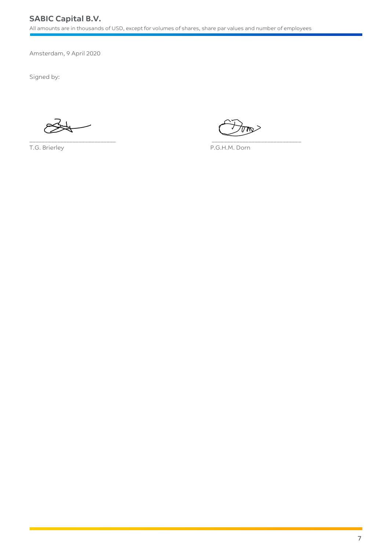\_\_\_\_\_\_\_\_\_\_\_\_\_\_\_\_\_\_\_\_\_\_\_\_\_\_\_\_ \_\_\_\_\_\_\_\_\_\_\_\_\_\_\_\_\_\_\_\_\_\_\_\_\_\_\_\_\_

Amsterdam, 9 April 2020

Signed by:

 $\forall\mathsf{m}$ 

T.G. Brierley **P.G.H.M. Dorn**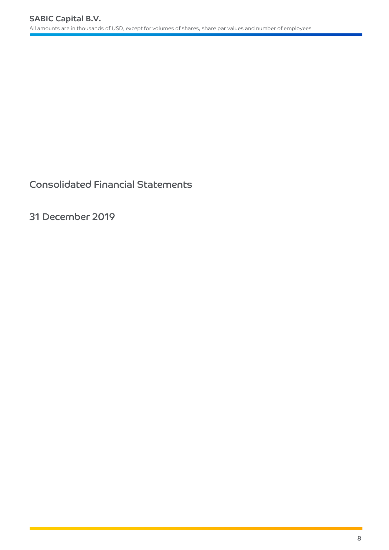Consolidated Financial Statements

31 December 2019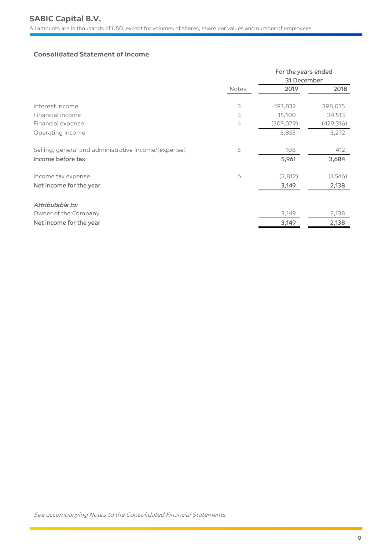# **Consolidated Statement of Income**

|                                                      |                | For the years ended |           |
|------------------------------------------------------|----------------|---------------------|-----------|
|                                                      |                | 31 December         |           |
|                                                      | Notes          | 2019                | 2018      |
| Interest income                                      | 3              | 497,832             | 398,075   |
| Financial income                                     | 3              | 15,100              | 34,513    |
| Financial expense                                    | $\overline{4}$ | (507,079)           | (429,316) |
| Operating income                                     |                | 5,853               | 3,272     |
| Selling, general and administrative income/(expense) | 5              | 108                 | 412       |
| Income before tax                                    |                | 5,961               | 3,684     |
| Income tax expense                                   | 6              | (2,812)             | (1,546)   |
| Net income for the year                              |                | 3,149               | 2,138     |
| Attributable to:                                     |                |                     |           |
| Owner of the Company                                 |                | 3,149               | 2,138     |
| Net income for the year                              |                | 3,149               | 2,138     |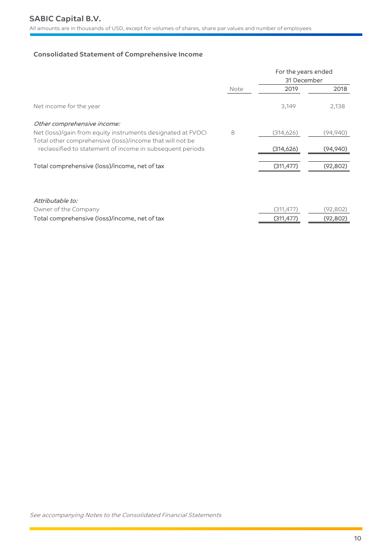# **Consolidated Statement of Comprehensive Income**

|                                                                                                                         | For the years ended<br>31 December |            |          |
|-------------------------------------------------------------------------------------------------------------------------|------------------------------------|------------|----------|
|                                                                                                                         | Note                               | 2019       | 2018     |
| Net income for the year                                                                                                 |                                    | 3,149      | 2,138    |
| Other comprehensive income:                                                                                             |                                    |            |          |
| Net (loss)/gain from equity instruments designated at FVOCI<br>Total other comprehensive (loss)/income that will not be | 8                                  | (314,626)  | (94,940) |
| reclassified to statement of income in subsequent periods                                                               |                                    | (314,626)  | (94.940) |
| Total comprehensive (loss)/income, net of tax                                                                           |                                    | (311, 477) | (92,802) |

| Attributable to:                              |            |           |
|-----------------------------------------------|------------|-----------|
| Owner of the Company                          | (311.477)  | (92,802)  |
| Total comprehensive (loss)/income, net of tax | (311, 477) | (92, 802) |

See accompanying Notes to the Consolidated Financial Statements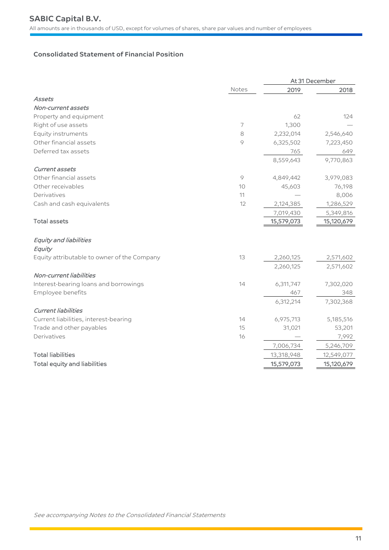# **Consolidated Statement of Financial Position**

|                                             |       |            | At 31 December |
|---------------------------------------------|-------|------------|----------------|
|                                             | Notes | 2019       | 2018           |
| Assets                                      |       |            |                |
| Non-current assets                          |       |            |                |
| Property and equipment                      |       | 62         | 124            |
| Right of use assets                         | 7     | 1,300      |                |
| Equity instruments                          | 8     | 2,232,014  | 2,546,640      |
| Other financial assets                      | 9     | 6,325,502  | 7,223,450      |
| Deferred tax assets                         |       | 765        | 649            |
|                                             |       | 8,559,643  | 9,770,863      |
| Current assets                              |       |            |                |
| Other financial assets                      | 9     | 4,849,442  | 3,979,083      |
| Other receivables                           | 10    | 45,603     | 76,198         |
| Derivatives                                 | 11    |            | 8,006          |
| Cash and cash equivalents                   | 12    | 2,124,385  | 1,286,529      |
|                                             |       | 7,019,430  | 5,349,816      |
| <b>Total assets</b>                         |       | 15,579,073 | 15,120,679     |
|                                             |       |            |                |
| Equity and liabilities                      |       |            |                |
| Equity                                      |       |            |                |
| Equity attributable to owner of the Company | 13    | 2,260,125  | 2,571,602      |
|                                             |       | 2,260,125  | 2,571,602      |
| Non-current liabilities                     |       |            |                |
| Interest-bearing loans and borrowings       | 14    | 6,311,747  | 7,302,020      |
| Employee benefits                           |       | 467        | 348            |
|                                             |       | 6,312,214  | 7,302,368      |
| <b>Current liabilities</b>                  |       |            |                |
| Current liabilities, interest-bearing       | 14    | 6,975,713  | 5,185,516      |
| Trade and other payables                    | 15    | 31,021     | 53,201         |
| Derivatives                                 | 16    |            | 7,992          |
|                                             |       | 7,006,734  | 5,246,709      |
| <b>Total liabilities</b>                    |       | 13,318,948 | 12,549,077     |
| <b>Total equity and liabilities</b>         |       | 15,579,073 | 15,120,679     |
|                                             |       |            |                |

See accompanying Notes to the Consolidated Financial Statements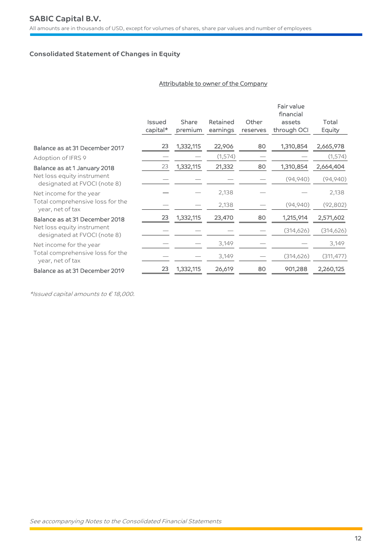# **Consolidated Statement of Changes in Equity**

# Attributable to owner of the Company

|                                                            |                           |                  |                      |                   | Fair value<br>financial |                 |
|------------------------------------------------------------|---------------------------|------------------|----------------------|-------------------|-------------------------|-----------------|
|                                                            | <b>Issued</b><br>capital* | Share<br>premium | Retained<br>earnings | Other<br>reserves | assets<br>through OCI   | Total<br>Equity |
| Balance as at 31 December 2017                             | 23                        | 1,332,115        | 22,906               | 80                | 1,310,854               | 2,665,978       |
| Adoption of IFRS 9                                         |                           |                  | (1,574)              |                   |                         | (1,574)         |
| Balance as at 1 January 2018                               | 23                        | 1,332,115        | 21,332               | 80                | 1,310,854               | 2,664,404       |
| Net loss equity instrument<br>designated at FVOCI (note 8) |                           |                  |                      |                   | (94, 940)               | (94, 940)       |
| Net income for the year                                    |                           |                  | 2,138                |                   |                         | 2,138           |
| Total comprehensive loss for the<br>year, net of tax       |                           |                  | 2,138                |                   | (94, 940)               | (92, 802)       |
| Balance as at 31 December 2018                             | 23                        | 1,332,115        | 23,470               | 80                | 1,215,914               | 2,571,602       |
| Net loss equity instrument<br>designated at FVOCI (note 8) |                           |                  |                      |                   | (314, 626)              | (314, 626)      |
| Net income for the year                                    |                           |                  | 3,149                |                   |                         | 3,149           |
| Total comprehensive loss for the<br>year, net of tax       |                           |                  | 3,149                |                   | (314, 626)              | (311, 477)      |
| Balance as at 31 December 2019                             | 23                        | 1,332,115        | 26,619               | 80                | 901,288                 | 2,260,125       |

\*Issued capital amounts to € 18,000.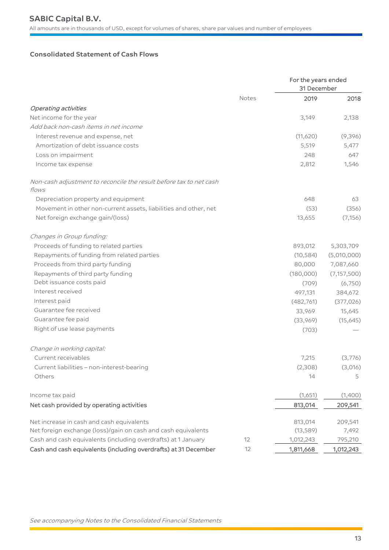# **Consolidated Statement of Cash Flows**

|                                                                             |       | For the years ended<br>31 December |               |  |
|-----------------------------------------------------------------------------|-------|------------------------------------|---------------|--|
|                                                                             | Notes | 2019                               | 2018          |  |
| <b>Operating activities</b>                                                 |       |                                    |               |  |
| Net income for the year                                                     |       | 3,149                              | 2,138         |  |
| Add back non-cash items in net income                                       |       |                                    |               |  |
| Interest revenue and expense, net                                           |       | (11,620)                           | (9,396)       |  |
| Amortization of debt issuance costs                                         |       | 5,519                              | 5,477         |  |
| Loss on impairment                                                          |       | 248                                | 647           |  |
| Income tax expense                                                          |       | 2,812                              | 1,546         |  |
| Non-cash adjustment to reconcile the result before tax to net cash<br>flows |       |                                    |               |  |
| Depreciation property and equipment                                         |       | 648                                | 63            |  |
| Movement in other non-current assets, liabilities and other, net            |       | (53)                               | (356)         |  |
| Net foreign exchange gain/(loss)                                            |       | 13,655                             | (7, 156)      |  |
| Changes in Group funding:                                                   |       |                                    |               |  |
| Proceeds of funding to related parties                                      |       | 893,012                            | 5,303,709     |  |
| Repayments of funding from related parties                                  |       | (10, 584)                          | (5,010,000)   |  |
| Proceeds from third party funding                                           |       | 80,000                             | 7,087,660     |  |
| Repayments of third party funding                                           |       | (180,000)                          | (7, 157, 500) |  |
| Debt issuance costs paid                                                    |       | (709)                              | (6,750)       |  |
| Interest received                                                           |       | 497,131                            | 384,672       |  |
| Interest paid                                                               |       | (482, 761)                         | (377, 026)    |  |
| Guarantee fee received                                                      |       | 33,969                             | 15,645        |  |
| Guarantee fee paid                                                          |       | (33,969)                           | (15,645)      |  |
| Right of use lease payments                                                 |       | (703)                              |               |  |
| Change in working capital:                                                  |       |                                    |               |  |
| Current receivables                                                         |       | 7,215                              | (3,776)       |  |
| Current liabilities - non-interest-bearing                                  |       | (2,308)                            | (3,016)       |  |
| Others                                                                      |       | 14                                 | 5             |  |
| Income tax paid                                                             |       | (1,651)                            | (1,400)       |  |
| Net cash provided by operating activities                                   |       | 813,014                            | 209,541       |  |
| Net increase in cash and cash equivalents                                   |       | 813,014                            | 209,541       |  |
| Net foreign exchange (loss)/gain on cash and cash equivalents               |       | (13, 589)                          | 7,492         |  |
| Cash and cash equivalents (including overdrafts) at 1 January               | 12    | 1,012,243                          | 795,210       |  |
| Cash and cash equivalents (including overdrafts) at 31 December             | 12    | 1,811,668                          | 1,012,243     |  |

See accompanying Notes to the Consolidated Financial Statements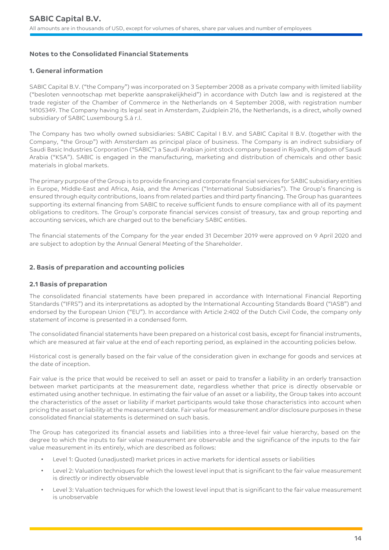# **Notes to the Consolidated Financial Statements**

# **1. General information**

SABIC Capital B.V. ("the Company") was incorporated on 3 September 2008 as a private company with limited liability ("besloten vennootschap met beperkte aansprakelijkheid") in accordance with Dutch law and is registered at the trade register of the Chamber of Commerce in the Netherlands on 4 September 2008, with registration number 14105349. The Company having its legal seat in Amsterdam, Zuidplein 216, the Netherlands, is a direct, wholly owned subsidiary of SABIC Luxembourg S.à r.l.

The Company has two wholly owned subsidiaries: SABIC Capital I B.V. and SABIC Capital II B.V. (together with the Company, "the Group") with Amsterdam as principal place of business. The Company is an indirect subsidiary of Saudi Basic Industries Corporation ("SABIC") a Saudi Arabian joint stock company based in Riyadh, Kingdom of Saudi Arabia ("KSA"). SABIC is engaged in the manufacturing, marketing and distribution of chemicals and other basic materials in global markets.

The primary purpose of the Group is to provide financing and corporate financial services for SABIC subsidiary entities in Europe, Middle-East and Africa, Asia, and the Americas ("International Subsidiaries"). The Group's financing is ensured through equity contributions, loans from related parties and third party financing. The Group has guarantees supporting its external financing from SABIC to receive sufficient funds to ensure compliance with all of its payment obligations to creditors. The Group's corporate financial services consist of treasury, tax and group reporting and accounting services, which are charged out to the beneficiary SABIC entities.

The financial statements of the Company for the year ended 31 December 2019 were approved on 9 April 2020 and are subject to adoption by the Annual General Meeting of the Shareholder.

# **2. Basis of preparation and accounting policies**

# **2.1 Basis of preparation**

The consolidated financial statements have been prepared in accordance with International Financial Reporting Standards ("IFRS") and its interpretations as adopted by the International Accounting Standards Board ("IASB") and endorsed by the European Union ("EU"). In accordance with Article 2:402 of the Dutch Civil Code, the company only statement of income is presented in a condensed form.

The consolidated financial statements have been prepared on a historical cost basis, except for financial instruments, which are measured at fair value at the end of each reporting period, as explained in the accounting policies below.

Historical cost is generally based on the fair value of the consideration given in exchange for goods and services at the date of inception.

Fair value is the price that would be received to sell an asset or paid to transfer a liability in an orderly transaction between market participants at the measurement date, regardless whether that price is directly observable or estimated using another technique. In estimating the fair value of an asset or a liability, the Group takes into account the characteristics of the asset or liability if market participants would take those characteristics into account when pricing the asset or liability at the measurement date. Fair value for measurement and/or disclosure purposes in these consolidated financial statements is determined on such basis.

The Group has categorized its financial assets and liabilities into a three-level fair value hierarchy, based on the degree to which the inputs to fair value measurement are observable and the significance of the inputs to the fair value measurement in its entirely, which are described as follows:

- Level 1: Quoted (unadjusted) market prices in active markets for identical assets or liabilities
- Level 2: Valuation techniques for which the lowest level input that is significant to the fair value measurement is directly or indirectly observable
- Level 3: Valuation techniques for which the lowest level input that is significant to the fair value measurement is unobservable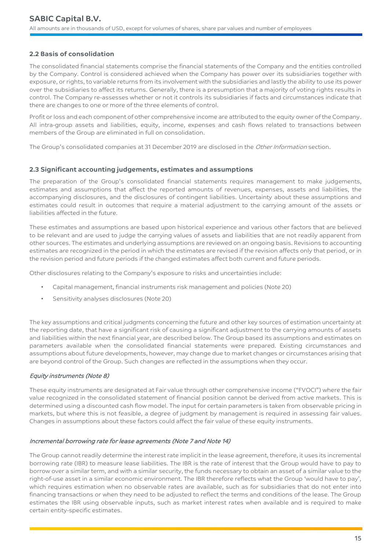# **2.2 Basis of consolidation**

The consolidated financial statements comprise the financial statements of the Company and the entities controlled by the Company. Control is considered achieved when the Company has power over its subsidiaries together with exposure, or rights, to variable returns from its involvement with the subsidiaries and lastly the ability to use its power over the subsidiaries to affect its returns. Generally, there is a presumption that a majority of voting rights results in control. The Company re-assesses whether or not it controls its subsidiaries if facts and circumstances indicate that there are changes to one or more of the three elements of control.

Profit or loss and each component of other comprehensive income are attributed to the equity owner of the Company. All intra-group assets and liabilities, equity, income, expenses and cash flows related to transactions between members of the Group are eliminated in full on consolidation.

The Group's consolidated companies at 31 December 2019 are disclosed in the Other Information section.

# **2.3 Significant accounting judgements, estimates and assumptions**

The preparation of the Group's consolidated financial statements requires management to make judgements, estimates and assumptions that affect the reported amounts of revenues, expenses, assets and liabilities, the accompanying disclosures, and the disclosures of contingent liabilities. Uncertainty about these assumptions and estimates could result in outcomes that require a material adjustment to the carrying amount of the assets or liabilities affected in the future.

These estimates and assumptions are based upon historical experience and various other factors that are believed to be relevant and are used to judge the carrying values of assets and liabilities that are not readily apparent from other sources. The estimates and underlying assumptions are reviewed on an ongoing basis. Revisions to accounting estimates are recognized in the period in which the estimates are revised if the revision affects only that period, or in the revision period and future periods if the changed estimates affect both current and future periods.

Other disclosures relating to the Company's exposure to risks and uncertainties include:

- Capital management, financial instruments risk management and policies (Note 20)
- Sensitivity analyses disclosures (Note 20)

The key assumptions and critical judgments concerning the future and other key sources of estimation uncertainty at the reporting date, that have a significant risk of causing a significant adjustment to the carrying amounts of assets and liabilities within the next financial year, are described below. The Group based its assumptions and estimates on parameters available when the consolidated financial statements were prepared. Existing circumstances and assumptions about future developments, however, may change due to market changes or circumstances arising that are beyond control of the Group. Such changes are reflected in the assumptions when they occur.

# Equity instruments (Note 8)

These equity instruments are designated at Fair value through other comprehensive income ("FVOCI") where the fair value recognized in the consolidated statement of financial position cannot be derived from active markets. This is determined using a discounted cash flow model. The input for certain parameters is taken from observable pricing in markets, but where this is not feasible, a degree of judgment by management is required in assessing fair values. Changes in assumptions about these factors could affect the fair value of these equity instruments.

# Incremental borrowing rate for lease agreements (Note 7 and Note 14)

The Group cannot readily determine the interest rate implicit in the lease agreement, therefore, it uses its incremental borrowing rate (IBR) to measure lease liabilities. The IBR is the rate of interest that the Group would have to pay to borrow over a similar term, and with a similar security, the funds necessary to obtain an asset of a similar value to the right-of-use asset in a similar economic environment. The IBR therefore reflects what the Group 'would have to pay', which requires estimation when no observable rates are available, such as for subsidiaries that do not enter into financing transactions or when they need to be adjusted to reflect the terms and conditions of the lease. The Group estimates the IBR using observable inputs, such as market interest rates when available and is required to make certain entity-specific estimates.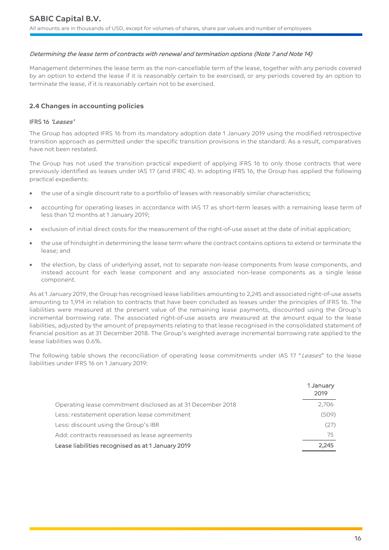#### Determining the lease term of contracts with renewal and termination options (Note 7 and Note 14)

Management determines the lease term as the non-cancellable term of the lease, together with any periods covered by an option to extend the lease if it is reasonably certain to be exercised, or any periods covered by an option to terminate the lease, if it is reasonably certain not to be exercised.

# **2.4 Changes in accounting policies**

#### IFRS 16 'Leases'

The Group has adopted IFRS 16 from its mandatory adoption date 1 January 2019 using the modified retrospective transition approach as permitted under the specific transition provisions in the standard. As a result, comparatives have not been restated.

The Group has not used the transition practical expedient of applying IFRS 16 to only those contracts that were previously identified as leases under IAS 17 (and IFRIC 4). In adopting IFRS 16, the Group has applied the following practical expedients:

- the use of a single discount rate to a portfolio of leases with reasonably similar characteristics;
- accounting for operating leases in accordance with IAS 17 as short-term leases with a remaining lease term of less than 12 months at 1 January 2019;
- exclusion of initial direct costs for the measurement of the right-of-use asset at the date of initial application;
- the use of hindsight in determining the lease term where the contract contains options to extend or terminate the lease; and
- the election, by class of underlying asset, not to separate non-lease components from lease components, and instead account for each lease component and any associated non-lease components as a single lease component.

As at 1 January 2019, the Group has recognised lease liabilities amounting to 2,245 and associated right-of-use assets amounting to 1,914 in relation to contracts that have been concluded as leases under the principles of IFRS 16. The liabilities were measured at the present value of the remaining lease payments, discounted using the Group's incremental borrowing rate. The associated right-of-use assets are measured at the amount equal to the lease liabilities, adjusted by the amount of prepayments relating to that lease recognised in the consolidated statement of financial position as at 31 December 2018. The Group's weighted average incremental borrowing rate applied to the lease liabilities was 0.6%.

The following table shows the reconciliation of operating lease commitments under IAS 17 "Leases" to the lease liabilities under IFRS 16 on 1 January 2019:

|                                                             | 1 January<br>2019 |
|-------------------------------------------------------------|-------------------|
| Operating lease commitment disclosed as at 31 December 2018 | 2,706             |
| Less: restatement operation lease commitment                | (509)             |
| Less: discount using the Group's IBR                        | (27)              |
| Add: contracts reassessed as lease agreements               | 75.               |
| Lease liabilities recognised as at 1 January 2019           | 2.245             |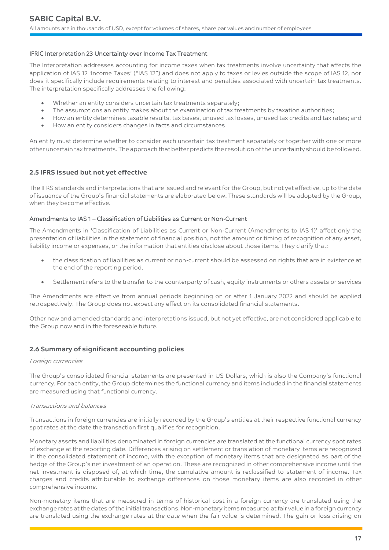# IFRIC Interpretation 23 Uncertainty over Income Tax Treatment

The Interpretation addresses accounting for income taxes when tax treatments involve uncertainty that affects the application of IAS 12 'Income Taxes' ("IAS 12") and does not apply to taxes or levies outside the scope of IAS 12, nor does it specifically include requirements relating to interest and penalties associated with uncertain tax treatments. The interpretation specifically addresses the following:

- Whether an entity considers uncertain tax treatments separately;
- The assumptions an entity makes about the examination of tax treatments by taxation authorities;
- How an entity determines taxable results, tax bases, unused tax losses, unused tax credits and tax rates; and
- How an entity considers changes in facts and circumstances

An entity must determine whether to consider each uncertain tax treatment separately or together with one or more other uncertain tax treatments. The approach that better predicts the resolution of the uncertainty should be followed.

# **2.5 IFRS issued but not yet effective**

The IFRS standards and interpretations that are issued and relevant for the Group, but not yet effective, up to the date of issuance of the Group's financial statements are elaborated below. These standards will be adopted by the Group, when they become effective.

#### Amendments to IAS 1 – Classification of Liabilities as Current or Non-Current

The Amendments in 'Classification of Liabilities as Current or Non-Current (Amendments to IAS 1)' affect only the presentation of liabilities in the statement of financial position, not the amount or timing of recognition of any asset, liability income or expenses, or the information that entities disclose about those items. They clarify that:

- the classification of liabilities as current or non-current should be assessed on rights that are in existence at the end of the reporting period.
- Settlement refers to the transfer to the counterparty of cash, equity instruments or others assets or services

The Amendments are effective from annual periods beginning on or after 1 January 2022 and should be applied retrospectively. The Group does not expect any effect on its consolidated financial statements.

Other new and amended standards and interpretations issued, but not yet effective, are not considered applicable to the Group now and in the foreseeable future.

# **2.6 Summary of significant accounting policies**

# Foreign currencies

The Group's consolidated financial statements are presented in US Dollars, which is also the Company's functional currency. For each entity, the Group determines the functional currency and items included in the financial statements are measured using that functional currency.

# Transactions and balances

Transactions in foreign currencies are initially recorded by the Group's entities at their respective functional currency spot rates at the date the transaction first qualifies for recognition.

Monetary assets and liabilities denominated in foreign currencies are translated at the functional currency spot rates of exchange at the reporting date. Differences arising on settlement or translation of monetary items are recognized in the consolidated statement of income, with the exception of monetary items that are designated as part of the hedge of the Group's net investment of an operation. These are recognized in other comprehensive income until the net investment is disposed of, at which time, the cumulative amount is reclassified to statement of income. Tax charges and credits attributable to exchange differences on those monetary items are also recorded in other comprehensive income.

Non-monetary items that are measured in terms of historical cost in a foreign currency are translated using the exchange rates at the dates of the initial transactions. Non-monetary items measured at fair value in a foreign currency are translated using the exchange rates at the date when the fair value is determined. The gain or loss arising on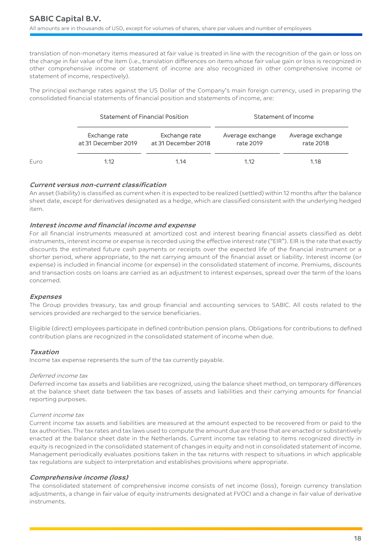translation of non-monetary items measured at fair value is treated in line with the recognition of the gain or loss on the change in fair value of the item (i.e., translation differences on items whose fair value gain or loss is recognized in other comprehensive income or statement of income are also recognized in other comprehensive income or statement of income, respectively).

The principal exchange rates against the US Dollar of the Company's main foreign currency, used in preparing the consolidated financial statements of financial position and statements of income, are:

|      |                                      | <b>Statement of Financial Position</b> |                               | Statement of Income           |
|------|--------------------------------------|----------------------------------------|-------------------------------|-------------------------------|
|      | Exchange rate<br>at 31 December 2019 | Exchange rate<br>at 31 December 2018   | Average exchange<br>rate 2019 | Average exchange<br>rate 2018 |
| Euro | 1.12                                 | 1.14                                   | 1.12                          | 1.18                          |

# **Current versus non-current classification**

An asset (liability) is classified as current when it is expected to be realized (settled) within 12 months after the balance sheet date, except for derivatives designated as a hedge, which are classified consistent with the underlying hedged item.

# **Interest income and financial income and expense**

For all financial instruments measured at amortized cost and interest bearing financial assets classified as debt instruments, interest income or expense is recorded using the effective interest rate ("EIR"). EIR is the rate that exactly discounts the estimated future cash payments or receipts over the expected life of the financial instrument or a shorter period, where appropriate, to the net carrying amount of the financial asset or liability. Interest income (or expense) is included in financial income (or expense) in the consolidated statement of income. Premiums, discounts and transaction costs on loans are carried as an adjustment to interest expenses, spread over the term of the loans concerned.

# **Expenses**

The Group provides treasury, tax and group financial and accounting services to SABIC. All costs related to the services provided are recharged to the service beneficiaries.

Eligible (direct) employees participate in defined contribution pension plans. Obligations for contributions to defined contribution plans are recognized in the consolidated statement of income when due.

# **Taxation**

Income tax expense represents the sum of the tax currently payable.

#### Deferred income tax

Deferred income tax assets and liabilities are recognized, using the balance sheet method, on temporary differences at the balance sheet date between the tax bases of assets and liabilities and their carrying amounts for financial reporting purposes.

#### Current income tax

Current income tax assets and liabilities are measured at the amount expected to be recovered from or paid to the tax authorities. The tax rates and tax laws used to compute the amount due are those that are enacted or substantively enacted at the balance sheet date in the Netherlands. Current income tax relating to items recognized directly in equity is recognized in the consolidated statement of changes in equity and not in consolidated statement of income. Management periodically evaluates positions taken in the tax returns with respect to situations in which applicable tax regulations are subject to interpretation and establishes provisions where appropriate.

# **Comprehensive income (loss)**

The consolidated statement of comprehensive income consists of net income (loss), foreign currency translation adjustments, a change in fair value of equity instruments designated at FVOCI and a change in fair value of derivative instruments.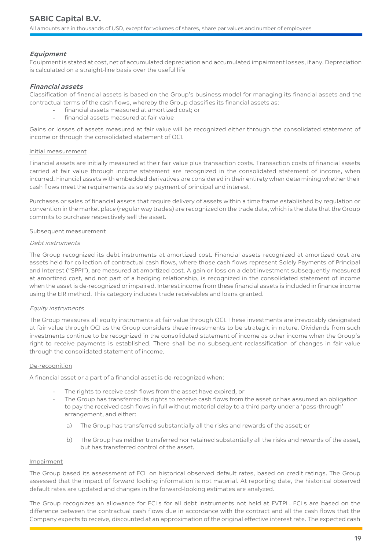# **Equipment**

Equipment is stated at cost, net of accumulated depreciation and accumulated impairment losses, if any. Depreciation is calculated on a straight-line basis over the useful life

# **Financial assets**

Classification of financial assets is based on the Group's business model for managing its financial assets and the contractual terms of the cash flows, whereby the Group classifies its financial assets as:

- financial assets measured at amortized cost; or
- financial assets measured at fair value

Gains or losses of assets measured at fair value will be recognized either through the consolidated statement of income or through the consolidated statement of OCI.

#### Initial measurement

Financial assets are initially measured at their fair value plus transaction costs. Transaction costs of financial assets carried at fair value through income statement are recognized in the consolidated statement of income, when incurred. Financial assets with embedded derivatives are considered in their entirety when determining whether their cash flows meet the requirements as solely payment of principal and interest.

Purchases or sales of financial assets that require delivery of assets within a time frame established by regulation or convention in the market place (regular way trades) are recognized on the trade date, which is the date that the Group commits to purchase respectively sell the asset.

#### Subsequent measurement

#### Debt instruments

The Group recognized its debt instruments at amortized cost. Financial assets recognized at amortized cost are assets held for collection of contractual cash flows, where those cash flows represent Solely Payments of Principal and Interest ("SPPI"), are measured at amortized cost. A gain or loss on a debt investment subsequently measured at amortized cost, and not part of a hedging relationship, is recognized in the consolidated statement of income when the asset is de-recognized or impaired. Interest income from these financial assets is included in finance income using the EIR method. This category includes trade receivables and loans granted.

# Equity instruments

The Group measures all equity instruments at fair value through OCI. These investments are irrevocably designated at fair value through OCI as the Group considers these investments to be strategic in nature. Dividends from such investments continue to be recognized in the consolidated statement of income as other income when the Group's right to receive payments is established. There shall be no subsequent reclassification of changes in fair value through the consolidated statement of income.

#### De-recognition

A financial asset or a part of a financial asset is de-recognized when:

- The rights to receive cash flows from the asset have expired, or
- The Group has transferred its rights to receive cash flows from the asset or has assumed an obligation to pay the received cash flows in full without material delay to a third party under a 'pass-through' arrangement, and either:
	- a) The Group has transferred substantially all the risks and rewards of the asset; or
	- b) The Group has neither transferred nor retained substantially all the risks and rewards of the asset, but has transferred control of the asset.

#### Impairment

The Group based its assessment of ECL on historical observed default rates, based on credit ratings. The Group assessed that the impact of forward looking information is not material. At reporting date, the historical observed default rates are updated and changes in the forward-looking estimates are analyzed.

The Group recognizes an allowance for ECLs for all debt instruments not held at FVTPL. ECLs are based on the difference between the contractual cash flows due in accordance with the contract and all the cash flows that the Company expects to receive, discounted at an approximation of the original effective interest rate. The expected cash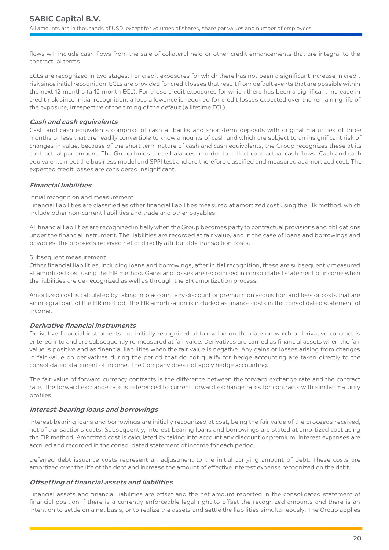flows will include cash flows from the sale of collateral held or other credit enhancements that are integral to the contractual terms.

ECLs are recognized in two stages. For credit exposures for which there has not been a significant increase in credit risk since initial recognition, ECLs are provided for credit losses that result from default events that are possible within the next 12-months (a 12-month ECL). For those credit exposures for which there has been a significant increase in credit risk since initial recognition, a loss allowance is required for credit losses expected over the remaining life of the exposure, irrespective of the timing of the default (a lifetime ECL).

# **Cash and cash equivalents**

Cash and cash equivalents comprise of cash at banks and short-term deposits with original maturities of three months or less that are readily convertible to know amounts of cash and which are subject to an insignificant risk of changes in value. Because of the short term nature of cash and cash equivalents, the Group recognizes these at its contractual par amount. The Group holds these balances in order to collect contractual cash flows. Cash and cash equivalents meet the business model and SPPI test and are therefore classified and measured at amortized cost. The expected credit losses are considered insignificant.

# **Financial liabilities**

# Initial recognition and measurement

Financial liabilities are classified as other financial liabilities measured at amortized cost using the EIR method, which include other non-current liabilities and trade and other payables.

All financial liabilities are recognized initially when the Group becomes party to contractual provisions and obligations under the financial instrument. The liabilities are recorded at fair value, and in the case of loans and borrowings and payables, the proceeds received net of directly attributable transaction costs.

# Subsequent measurement

Other financial liabilities, including loans and borrowings, after initial recognition, these are subsequently measured at amortized cost using the EIR method. Gains and losses are recognized in consolidated statement of income when the liabilities are de-recognized as well as through the EIR amortization process.

Amortized cost is calculated by taking into account any discount or premium on acquisition and fees or costs that are an integral part of the EIR method. The EIR amortization is included as finance costs in the consolidated statement of income.

# **Derivative financial instruments**

Derivative financial instruments are initially recognized at fair value on the date on which a derivative contract is entered into and are subsequently re-measured at fair value. Derivatives are carried as financial assets when the fair value is positive and as financial liabilities when the fair value is negative. Any gains or losses arising from changes in fair value on derivatives during the period that do not qualify for hedge accounting are taken directly to the consolidated statement of income. The Company does not apply hedge accounting.

The fair value of forward currency contracts is the difference between the forward exchange rate and the contract rate. The forward exchange rate is referenced to current forward exchange rates for contracts with similar maturity profiles.

# **Interest-bearing loans and borrowings**

Interest-bearing loans and borrowings are initially recognized at cost, being the fair value of the proceeds received, net of transactions costs. Subsequently, interest-bearing loans and borrowings are stated at amortized cost using the EIR method. Amortized cost is calculated by taking into account any discount or premium. Interest expenses are accrued and recorded in the consolidated statement of income for each period.

Deferred debt issuance costs represent an adjustment to the initial carrying amount of debt. These costs are amortized over the life of the debt and increase the amount of effective interest expense recognized on the debt.

# **Offsetting of financial assets and liabilities**

Financial assets and financial liabilities are offset and the net amount reported in the consolidated statement of financial position if there is a currently enforceable legal right to offset the recognized amounts and there is an intention to settle on a net basis, or to realize the assets and settle the liabilities simultaneously. The Group applies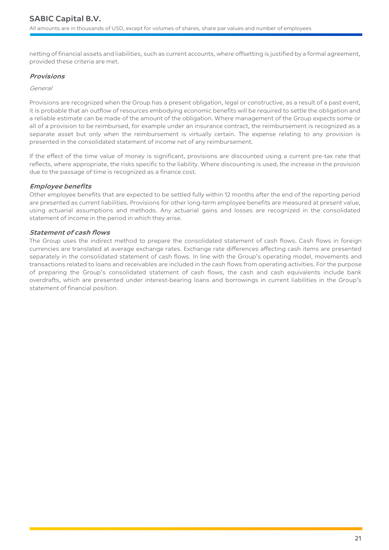netting of financial assets and liabilities, such as current accounts, where offsetting is justified by a formal agreement, provided these criteria are met.

# **Provisions**

### General

Provisions are recognized when the Group has a present obligation, legal or constructive, as a result of a past event, it is probable that an outflow of resources embodying economic benefits will be required to settle the obligation and a reliable estimate can be made of the amount of the obligation. Where management of the Group expects some or all of a provision to be reimbursed, for example under an insurance contract, the reimbursement is recognized as a separate asset but only when the reimbursement is virtually certain. The expense relating to any provision is presented in the consolidated statement of income net of any reimbursement.

If the effect of the time value of money is significant, provisions are discounted using a current pre-tax rate that reflects, where appropriate, the risks specific to the liability. Where discounting is used, the increase in the provision due to the passage of time is recognized as a finance cost.

# **Employee benefits**

Other employee benefits that are expected to be settled fully within 12 months after the end of the reporting period are presented as current liabilities. Provisions for other long-term employee benefits are measured at present value, using actuarial assumptions and methods. Any actuarial gains and losses are recognized in the consolidated statement of income in the period in which they arise.

# **Statement of cash flows**

The Group uses the indirect method to prepare the consolidated statement of cash flows. Cash flows in foreign currencies are translated at average exchange rates. Exchange rate differences affecting cash items are presented separately in the consolidated statement of cash flows. In line with the Group's operating model, movements and transactions related to loans and receivables are included in the cash flows from operating activities. For the purpose of preparing the Group's consolidated statement of cash flows, the cash and cash equivalents include bank overdrafts, which are presented under interest-bearing loans and borrowings in current liabilities in the Group's statement of financial position.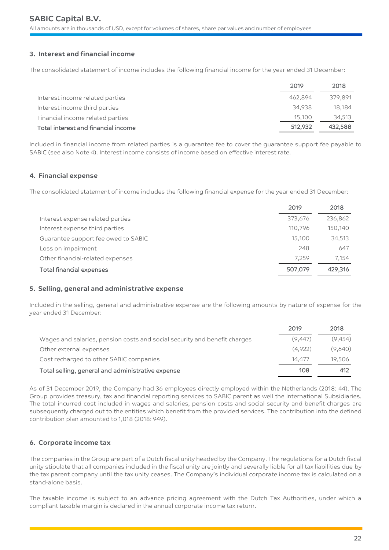# **3. Interest and financial income**

The consolidated statement of income includes the following financial income for the year ended 31 December:

|                                     | 2019    | 2018    |
|-------------------------------------|---------|---------|
| Interest income related parties     | 462.894 | 379.891 |
| Interest income third parties       | 34.938  | 18.184  |
| Financial income related parties    | 15,100  | 34,513  |
| Total interest and financial income | 512,932 | 432,588 |

Included in financial income from related parties is a guarantee fee to cover the guarantee support fee payable to SABIC (see also Note 4). Interest income consists of income based on effective interest rate.

# **4. Financial expense**

The consolidated statement of income includes the following financial expense for the year ended 31 December:

|                                     | 2019    | 2018    |
|-------------------------------------|---------|---------|
| Interest expense related parties    | 373,676 | 236,862 |
| Interest expense third parties      | 110.796 | 150,140 |
| Guarantee support fee owed to SABIC | 15,100  | 34,513  |
| Loss on impairment                  | 248     | 647     |
| Other financial-related expenses    | 7.259   | 7.154   |
| <b>Total financial expenses</b>     | 507,079 | 429,316 |

# **5. Selling, general and administrative expense**

Included in the selling, general and administrative expense are the following amounts by nature of expense for the year ended 31 December:

|                                                                           | 2019    | 2018    |
|---------------------------------------------------------------------------|---------|---------|
| Wages and salaries, pension costs and social security and benefit charges | (9.447) | (9,454) |
| Other external expenses                                                   | (4.922) | (9.640) |
| Cost recharged to other SABIC companies                                   | 14.477  | 19.506  |
| Total selling, general and administrative expense                         | 108     | 412     |

As of 31 December 2019, the Company had 36 employees directly employed within the Netherlands (2018: 44). The Group provides treasury, tax and financial reporting services to SABIC parent as well the International Subsidiaries. The total incurred cost included in wages and salaries, pension costs and social security and benefit charges are subsequently charged out to the entities which benefit from the provided services. The contribution into the defined contribution plan amounted to 1,018 (2018: 949).

# **6. Corporate income tax**

The companies in the Group are part of a Dutch fiscal unity headed by the Company. The regulations for a Dutch fiscal unity stipulate that all companies included in the fiscal unity are jointly and severally liable for all tax liabilities due by the tax parent company until the tax unity ceases. The Company's individual corporate income tax is calculated on a stand-alone basis.

The taxable income is subject to an advance pricing agreement with the Dutch Tax Authorities, under which a compliant taxable margin is declared in the annual corporate income tax return.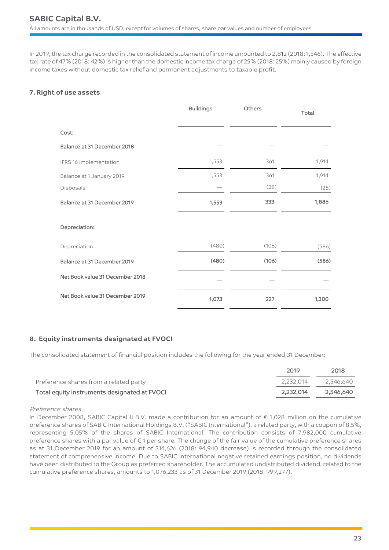In 2019, the tax charge recorded in the consolidated statement of income amounted to 2,812 (2018: 1,546). The effective tax rate of 47% (2018: 42%) is higher than the domestic income tax charge of 25% (2018: 25%) mainly caused by foreign income taxes without domestic tax relief and permanent adjustments to taxable profit.

# **7. Right of use assets**

|                                 | <b>Buildings</b> | Others | Total |
|---------------------------------|------------------|--------|-------|
| Cost:                           |                  |        |       |
| Balance at 31 December 2018     |                  |        |       |
| IFRS 16 implementation          | 1,553            | 361    | 1,914 |
| Balance at 1 January 2019       | 1,553            | 361    | 1,914 |
| Disposals                       |                  | (28)   | (28)  |
| Balance at 31 December 2019     | 1,553            | 333    | 1,886 |
| Depreciation:                   |                  |        |       |
| Depreciation                    | (480)            | (106)  | (586) |
| Balance at 31 December 2019     | (480)            | (106)  | (586) |
| Net Book value 31 December 2018 |                  |        |       |
| Net Book value 31 December 2019 | 1,073            | 227    | 1,300 |

# **8. Equity instruments designated at FVOCI**

The consolidated statement of financial position includes the following for the year ended 31 December:

|                                              | 2019      | 2018      |
|----------------------------------------------|-----------|-----------|
| Preference shares from a related party       | 2.232.014 | 2.546.640 |
| Total equity instruments designated at FVOCI | 2.232.014 | 2,546,640 |

# Preference shares

In December 2008, SABIC Capital II B.V. made a contribution for an amount of € 1,028 million on the cumulative preference shares of SABIC International Holdings B.V. ("SABIC International"), a related party, with a coupon of 8.5%, representing 5.05% of the shares of SABIC International. The contribution consists of 7,982,000 cumulative preference shares with a par value of € 1 per share. The change of the fair value of the cumulative preference shares as at 31 December 2019 for an amount of 314,626 (2018: 94,940 decrease) is recorded through the consolidated statement of comprehensive income. Due to SABIC International negative retained earnings position, no dividends have been distributed to the Group as preferred shareholder. The accumulated undistributed dividend, related to the cumulative preference shares, amounts to 1,076,233 as of 31 December 2019 (2018: 999,277).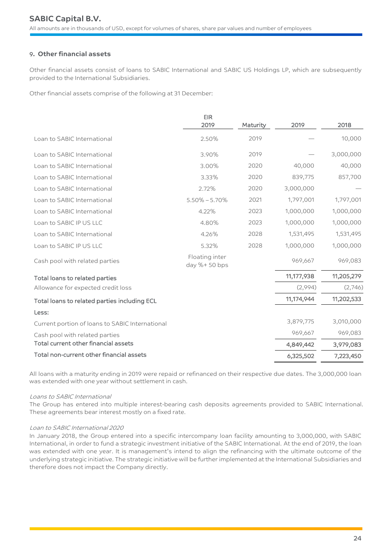# 9**. Other financial assets**

Other financial assets consist of loans to SABIC International and SABIC US Holdings LP, which are subsequently provided to the International Subsidiaries.

Other financial assets comprise of the following at 31 December:

|                                                 | <b>EIR</b>                     |          |            |            |
|-------------------------------------------------|--------------------------------|----------|------------|------------|
|                                                 | 2019                           | Maturity | 2019       | 2018       |
| Loan to SABIC International                     | 2.50%                          | 2019     |            | 10,000     |
| Loan to SABIC International                     | 3.90%                          | 2019     |            | 3,000,000  |
| Loan to SABIC International                     | 3.00%                          | 2020     | 40,000     | 40,000     |
| Loan to SABIC International                     | 3.33%                          | 2020     | 839,775    | 857,700    |
| Loan to SABIC International                     | 2.72%                          | 2020     | 3,000,000  |            |
| Loan to SABIC International                     | $5.50\% - 5.70\%$              | 2021     | 1,797,001  | 1,797,001  |
| Loan to SABIC International                     | 4.22%                          | 2023     | 1,000,000  | 1,000,000  |
| Loan to SABIC IP US LLC                         | 4.80%                          | 2023     | 1,000,000  | 1,000,000  |
| Loan to SABIC International                     | 4.26%                          | 2028     | 1,531,495  | 1,531,495  |
| Loan to SABIC IP US LLC                         | 5.32%                          | 2028     | 1,000,000  | 1,000,000  |
| Cash pool with related parties                  | Floating inter<br>day %+50 bps |          | 969,667    | 969,083    |
| Total loans to related parties                  |                                |          | 11,177,938 | 11,205,279 |
| Allowance for expected credit loss              |                                |          | (2,994)    | (2,746)    |
| Total loans to related parties including ECL    |                                |          | 11,174,944 | 11,202,533 |
| Less:                                           |                                |          |            |            |
| Current portion of loans to SABIC International |                                |          | 3,879,775  | 3,010,000  |
| Cash pool with related parties                  |                                |          | 969,667    | 969,083    |
| Total current other financial assets            |                                |          | 4,849,442  | 3,979,083  |
| Total non-current other financial assets        |                                |          | 6,325,502  | 7,223,450  |

All loans with a maturity ending in 2019 were repaid or refinanced on their respective due dates. The 3,000,000 loan was extended with one year without settlement in cash.

#### Loans to SABIC International

The Group has entered into multiple interest-bearing cash deposits agreements provided to SABIC International. These agreements bear interest mostly on a fixed rate.

#### Loan to SABIC International 2020

In January 2018, the Group entered into a specific intercompany loan facility amounting to 3,000,000, with SABIC International, in order to fund a strategic investment initiative of the SABIC International. At the end of 2019, the loan was extended with one year. It is management's intend to align the refinancing with the ultimate outcome of the underlying strategic initiative. The strategic initiative will be further implemented at the International Subsidiaries and therefore does not impact the Company directly.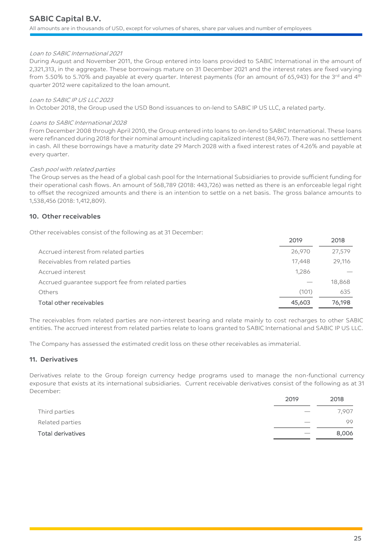#### Loan to SABIC International 2021

During August and November 2011, the Group entered into loans provided to SABIC International in the amount of 2,321,313, in the aggregate. These borrowings mature on 31 December 2021 and the interest rates are fixed varying from 5.50% to 5.70% and payable at every quarter. Interest payments (for an amount of 65,943) for the 3rd and 4<sup>th</sup> quarter 2012 were capitalized to the loan amount.

#### Loan to SABIC IP US LLC 2023

In October 2018, the Group used the USD Bond issuances to on-lend to SABIC IP US LLC, a related party.

#### Loans to SABIC International 2028

From December 2008 through April 2010, the Group entered into loans to on-lend to SABIC International. These loans were refinanced during 2018 for their nominal amount including capitalized interest (84,967). There was no settlement in cash. All these borrowings have a maturity date 29 March 2028 with a fixed interest rates of 4.26% and payable at every quarter.

#### Cash pool with related parties

The Group serves as the head of a global cash pool for the International Subsidiaries to provide sufficient funding for their operational cash flows. An amount of 568,789 (2018: 443,726) was netted as there is an enforceable legal right to offset the recognized amounts and there is an intention to settle on a net basis. The gross balance amounts to 1,538,456 (2018: 1,412,809).

# **10. Other receivables**

Other receivables consist of the following as at 31 December:

|                                                    | 2019   | 2018   |
|----------------------------------------------------|--------|--------|
| Accrued interest from related parties              | 26,970 | 27,579 |
| Receivables from related parties                   | 17.448 | 29,116 |
| Accrued interest                                   | 1.286  |        |
| Accrued guarantee support fee from related parties |        | 18,868 |
| Others                                             | (101)  | 635    |
| <b>Total other receivables</b>                     | 45,603 | 76,198 |

The receivables from related parties are non-interest bearing and relate mainly to cost recharges to other SABIC entities. The accrued interest from related parties relate to loans granted to SABIC International and SABIC IP US LLC.

The Company has assessed the estimated credit loss on these other receivables as immaterial.

# **11. Derivatives**

Derivatives relate to the Group foreign currency hedge programs used to manage the non-functional currency exposure that exists at its international subsidiaries. Current receivable derivatives consist of the following as at 31 December:

| Third parties     | 7,907 |
|-------------------|-------|
| Related parties   | 99    |
| Total derivatives | 8,006 |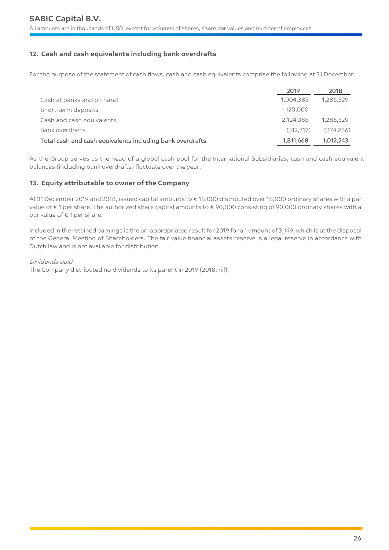# **12. Cash and cash equivalents including bank overdrafts**

For the purpose of the statement of cash flows, cash and cash equivalents comprise the following at 31 December:

|                                                           | 2019      | 2018      |
|-----------------------------------------------------------|-----------|-----------|
| Cash at banks and on hand                                 | 1,004,385 | 1,286,529 |
| Short-term deposits                                       | 1,120,000 |           |
| Cash and cash equivalents                                 | 2,124,385 | 1,286,529 |
| Bank overdrafts                                           | (312.717) | (274.286) |
| Total cash and cash equivalents including bank overdrafts | 1,811,668 | 1.012.243 |

As the Group serves as the head of a global cash pool for the International Subsidiaries, cash and cash equivalent balances (including bank overdrafts) fluctuate over the year.

# **13. Equity attributable to owner of the Company**

At 31 December 2019 and 2018, issued capital amounts to € 18,000 distributed over 18,000 ordinary shares with a par value of € 1 per share. The authorized share capital amounts to € 90,000 consisting of 90,000 ordinary shares with a par value of €1 per share.

Included in the retained earnings is the un-appropriated result for 2019 for an amount of 3,149, which is at the disposal of the General Meeting of Shareholders. The fair value financial assets reserve is a legal reserve in accordance with Dutch law and is not available for distribution.

# Dividends paid

The Company distributed no dividends to its parent in 2019 (2018: nil).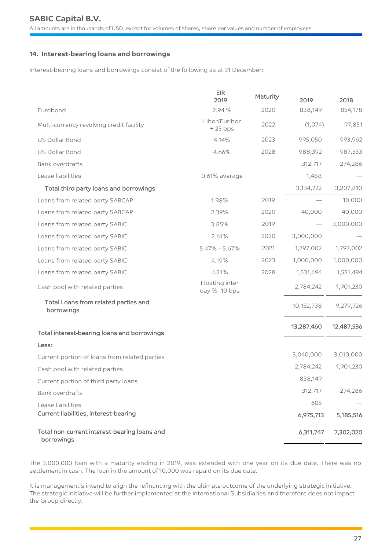# **14. Interest-bearing loans and borrowings**

Interest-bearing loans and borrowings consist of the following as at 31 December:

|                                                            | <b>EIR</b><br>2019              | Maturity | 2019       | 2018       |
|------------------------------------------------------------|---------------------------------|----------|------------|------------|
| Eurobond                                                   | 2.94 %                          | 2020     | 838,149    | 854,178    |
| Multi-currency revolving credit facility                   | Libor/Euribor<br>$+25$ bps      | 2022     | (1,074)    | 97,851     |
| US Dollar Bond                                             | 4.14%                           | 2023     | 995,050    | 993,962    |
| US Dollar Bond                                             | 4.66%                           | 2028     | 988,392    | 987,533    |
| <b>Bank overdrafts</b>                                     |                                 |          | 312,717    | 274,286    |
| Lease liabilities                                          | 0.61% average                   |          | 1,488      |            |
| Total third party loans and borrowings                     |                                 |          | 3,134,722  | 3,207,810  |
| Loans from related party SABCAP                            | 1.98%                           | 2019     |            | 10,000     |
| Loans from related party SABCAP                            | 2.39%                           | 2020     | 40,000     | 40,000     |
| Loans from related party SABIC                             | 3.85%                           | 2019     |            | 3,000,000  |
| Loans from related party SABIC                             | 2.61%                           | 2020     | 3,000,000  |            |
| Loans from related party SABIC                             | $5.47\% - 5.67\%$               | 2021     | 1,797,002  | 1,797,002  |
| Loans from related party SABIC                             | 4.19%                           | 2023     | 1,000,000  | 1,000,000  |
| Loans from related party SABIC                             | 4.21%                           | 2028     | 1,531,494  | 1,531,494  |
| Cash pool with related parties                             | Floating inter<br>day % -10 bps |          | 2,784,242  | 1,901,230  |
| Total Loans from related parties and<br>borrowings         |                                 |          | 10,152,738 | 9,279,726  |
| Total interest-bearing loans and borrowings                |                                 |          | 13,287,460 | 12,487,536 |
| Less:                                                      |                                 |          |            |            |
| Current portion of loans from related parties              |                                 |          | 3,040,000  | 3,010,000  |
| Cash pool with related parties                             |                                 |          | 2,784,242  | 1,901,230  |
| Current portion of third party loans                       |                                 |          | 838,149    |            |
| <b>Bank overdrafts</b>                                     |                                 |          | 312,717    | 274,286    |
| Lease liabilities                                          |                                 |          | 605        |            |
| Current liabilities, interest-bearing                      |                                 |          | 6,975,713  | 5,185,516  |
| Total non-current interest-bearing loans and<br>borrowings |                                 |          | 6,311,747  | 7,302,020  |

The 3,000,000 loan with a maturity ending in 2019, was extended with one year on its due date. There was no settlement in cash. The loan in the amount of 10,000 was repaid on its due date.

It is management's intend to align the refinancing with the ultimate outcome of the underlying strategic initiative. The strategic initiative will be further implemented at the International Subsidiaries and therefore does not impact the Group directly.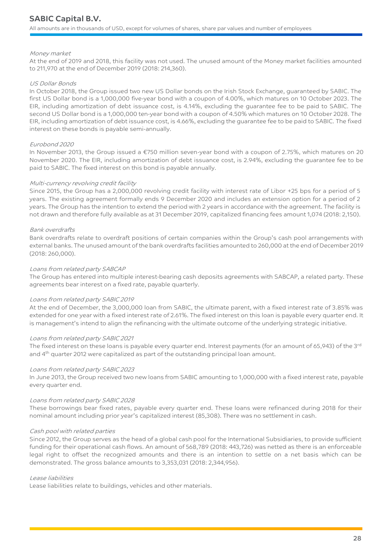#### Money market

At the end of 2019 and 2018, this facility was not used. The unused amount of the Money market facilities amounted to 211,970 at the end of December 2019 (2018: 214,360).

#### US Dollar Bonds

In October 2018, the Group issued two new US Dollar bonds on the Irish Stock Exchange, guaranteed by SABIC. The first US Dollar bond is a 1,000,000 five-year bond with a coupon of 4.00%, which matures on 10 October 2023. The EIR, including amortization of debt issuance cost, is 4.14%, excluding the guarantee fee to be paid to SABIC. The second US Dollar bond is a 1,000,000 ten-year bond with a coupon of 4.50% which matures on 10 October 2028. The EIR, including amortization of debt issuance cost, is 4.66%, excluding the guarantee fee to be paid to SABIC. The fixed interest on these bonds is payable semi-annually.

#### Eurobond 2020

In November 2013, the Group issued a €750 million seven-year bond with a coupon of 2.75%, which matures on 20 November 2020. The EIR, including amortization of debt issuance cost, is 2.94%, excluding the guarantee fee to be paid to SABIC. The fixed interest on this bond is payable annually.

#### Multi-currency revolving credit facility

Since 2015, the Group has a 2,000,000 revolving credit facility with interest rate of Libor +25 bps for a period of 5 years. The existing agreement formally ends 9 December 2020 and includes an extension option for a period of 2 years. The Group has the intention to extend the period with 2 years in accordance with the agreement. The facility is not drawn and therefore fully available as at 31 December 2019, capitalized financing fees amount 1,074 (2018: 2,150).

#### Bank overdrafts

Bank overdrafts relate to overdraft positions of certain companies within the Group's cash pool arrangements with external banks. The unused amount of the bank overdrafts facilities amounted to 260,000 at the end of December 2019 (2018: 260,000).

#### Loans from related party SABCAP

The Group has entered into multiple interest-bearing cash deposits agreements with SABCAP, a related party. These agreements bear interest on a fixed rate, payable quarterly.

#### Loans from related party SABIC 2019

At the end of December, the 3,000,000 loan from SABIC, the ultimate parent, with a fixed interest rate of 3.85% was extended for one year with a fixed interest rate of 2.61%. The fixed interest on this loan is payable every quarter end. It is management's intend to align the refinancing with the ultimate outcome of the underlying strategic initiative.

#### Loans from related party SABIC 2021

The fixed interest on these loans is payable every quarter end. Interest payments (for an amount of 65,943) of the 3rd and 4<sup>th</sup> quarter 2012 were capitalized as part of the outstanding principal loan amount.

#### Loans from related party SABIC 2023

In June 2013, the Group received two new loans from SABIC amounting to 1,000,000 with a fixed interest rate, payable every quarter end.

#### Loans from related party SABIC 2028

These borrowings bear fixed rates, payable every quarter end. These loans were refinanced during 2018 for their nominal amount including prior year's capitalized interest (85,308). There was no settlement in cash.

#### Cash pool with related parties

Since 2012, the Group serves as the head of a global cash pool for the International Subsidiaries, to provide sufficient funding for their operational cash flows. An amount of 568,789 (2018: 443,726) was netted as there is an enforceable legal right to offset the recognized amounts and there is an intention to settle on a net basis which can be demonstrated. The gross balance amounts to 3,353,031 (2018: 2,344,956).

#### Lease liabilities

Lease liabilities relate to buildings, vehicles and other materials.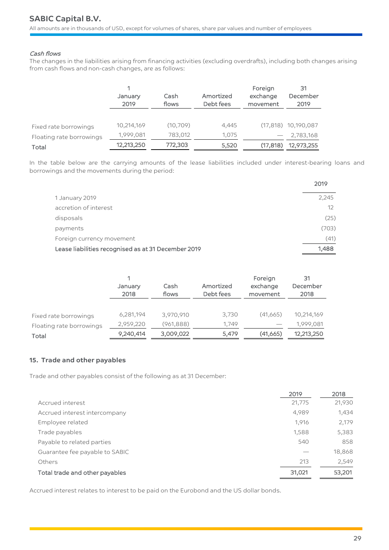# Cash flows

The changes in the liabilities arising from financing activities (excluding overdrafts), including both changes arising from cash flows and non-cash changes, are as follows:

|                                   | January<br>2019         | Cash<br>flows        | Amortized<br>Debt fees | Foreign<br>exchange<br>movement | 31<br>December<br>2019             |
|-----------------------------------|-------------------------|----------------------|------------------------|---------------------------------|------------------------------------|
|                                   |                         |                      |                        |                                 |                                    |
| Fixed rate borrowings             | 10,214,169<br>1,999,081 | (10, 709)<br>783,012 | 4,445<br>1.075         |                                 | $(17,818)$ 10,190,087<br>2,783,168 |
| Floating rate borrowings<br>Total | 12,213,250              | 772,303              | 5,520                  | (17, 818)                       | 12,973,255                         |

In the table below are the carrying amounts of the lease liabilities included under interest-bearing loans and borrowings and the movements during the period:

|                                                     | 2019              |
|-----------------------------------------------------|-------------------|
| 1 January 2019                                      | 2,245             |
| accretion of interest                               | $12 \overline{ }$ |
| disposals                                           | (25)              |
| payments                                            | (703)             |
| Foreign currency movement                           | (41)              |
| Lease liabilities recognised as at 31 December 2019 | 1,488             |

|                          | January<br>2018 | Cash<br>flows | Amortized<br>Debt fees | Foreign<br>exchange<br>movement | 31<br>December<br>2018 |
|--------------------------|-----------------|---------------|------------------------|---------------------------------|------------------------|
| Fixed rate borrowings    | 6,281,194       | 3,970,910     | 3,730                  | (41,665)                        | 10,214,169             |
| Floating rate borrowings | 2,959,220       | (961, 888)    | 1.749                  |                                 | 1,999,081              |
| Total                    | 9,240,414       | 3,009,022     | 5,479                  | (41,665)                        | 12,213,250             |

# **15. Trade and other payables**

Trade and other payables consist of the following as at 31 December:

|                                | 2019   | 2018   |
|--------------------------------|--------|--------|
| Accrued interest               | 21,775 | 21,930 |
| Accrued interest intercompany  | 4,989  | 1,434  |
| Employee related               | 1,916  | 2,179  |
| Trade payables                 | 1,588  | 5,383  |
| Payable to related parties     | 540    | 858    |
| Guarantee fee payable to SABIC |        | 18,868 |
| Others                         | 213    | 2,549  |
| Total trade and other payables | 31,021 | 53,201 |

Accrued interest relates to interest to be paid on the Eurobond and the US dollar bonds.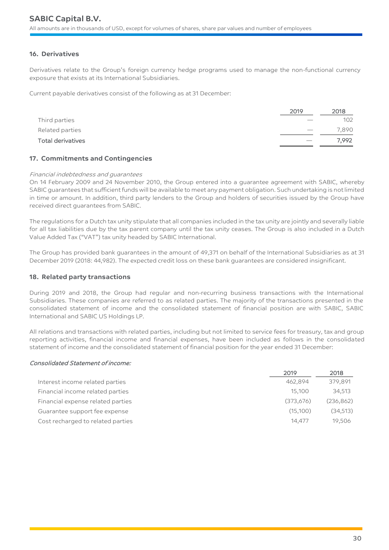# **16. Derivatives**

Derivatives relate to the Group's foreign currency hedge programs used to manage the non-functional currency exposure that exists at its International Subsidiaries.

Current payable derivatives consist of the following as at 31 December:

|                   | 2019 | 2018  |
|-------------------|------|-------|
| Third parties     |      | 102   |
| Related parties   |      | 7,890 |
| Total derivatives |      | 7.992 |

# **17. Commitments and Contingencies**

#### Financial indebtedness and guarantees

On 14 February 2009 and 24 November 2010, the Group entered into a guarantee agreement with SABIC, whereby SABIC guarantees that sufficient funds will be available to meet any payment obligation. Such undertaking is not limited in time or amount. In addition, third party lenders to the Group and holders of securities issued by the Group have received direct guarantees from SABIC.

The regulations for a Dutch tax unity stipulate that all companies included in the tax unity are jointly and severally liable for all tax liabilities due by the tax parent company until the tax unity ceases. The Group is also included in a Dutch Value Added Tax ("VAT") tax unity headed by SABIC International.

The Group has provided bank guarantees in the amount of 49,371 on behalf of the International Subsidiaries as at 31 December 2019 (2018: 44,982). The expected credit loss on these bank guarantees are considered insignificant.

# **18. Related party transactions**

During 2019 and 2018, the Group had regular and non-recurring business transactions with the International Subsidiaries. These companies are referred to as related parties. The majority of the transactions presented in the consolidated statement of income and the consolidated statement of financial position are with SABIC, SABIC International and SABIC US Holdings LP.

All relations and transactions with related parties, including but not limited to service fees for treasury, tax and group reporting activities, financial income and financial expenses, have been included as follows in the consolidated statement of income and the consolidated statement of financial position for the year ended 31 December:

# Consolidated Statement of income:

|                                   | 2019      | 2018       |
|-----------------------------------|-----------|------------|
| Interest income related parties   | 462.894   | 379,891    |
| Financial income related parties  | 15,100    | 34,513     |
| Financial expense related parties | (373,676) | (236, 862) |
| Guarantee support fee expense     | (15,100)  | (34,513)   |
| Cost recharged to related parties | 14.477    | 19.506     |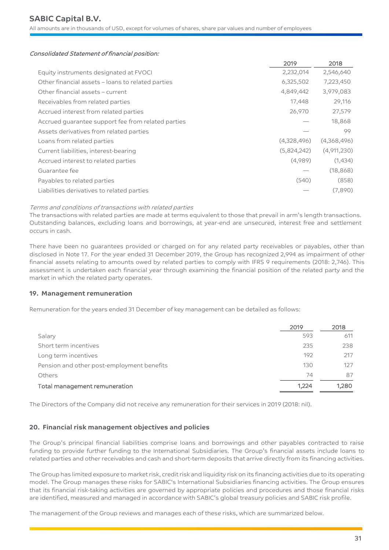All amounts are in thousands of USD, except for volumes of shares, share par values and number of employees

#### Consolidated Statement of financial position:

| 2019        | 2018        |
|-------------|-------------|
| 2,232,014   | 2,546,640   |
| 6,325,502   | 7,223,450   |
| 4,849,442   | 3,979,083   |
| 17,448      | 29,116      |
| 26,970      | 27,579      |
|             | 18,868      |
|             | 99          |
| (4,328,496) | (4,368,496) |
| (5,824,242) | (4,911,230) |
| (4,989)     | (1,434)     |
|             | (18, 868)   |
| (540)       | (858)       |
|             | (7,890)     |
|             |             |

#### Terms and conditions of transactions with related parties

The transactions with related parties are made at terms equivalent to those that prevail in arm's length transactions. Outstanding balances, excluding loans and borrowings, at year-end are unsecured, interest free and settlement occurs in cash.

There have been no guarantees provided or charged on for any related party receivables or payables, other than disclosed in Note 17. For the year ended 31 December 2019, the Group has recognized 2,994 as impairment of other financial assets relating to amounts owed by related parties to comply with IFRS 9 requirements (2018: 2,746). This assessment is undertaken each financial year through examining the financial position of the related party and the market in which the related party operates.

# **19. Management remuneration**

Remuneration for the years ended 31 December of key management can be detailed as follows:

|                                            | 2019  | 2018  |
|--------------------------------------------|-------|-------|
| Salary                                     | 593   | 611   |
| Short term incentives                      | 235   | 238   |
| Long term incentives                       | 192   | 217   |
| Pension and other post-employment benefits | 130   | 127   |
| Others                                     | 74    | 87    |
| Total management remuneration              | 1.224 | 1,280 |

The Directors of the Company did not receive any remuneration for their services in 2019 (2018: nil).

# **20. Financial risk management objectives and policies**

The Group's principal financial liabilities comprise loans and borrowings and other payables contracted to raise funding to provide further funding to the International Subsidiaries. The Group's financial assets include loans to related parties and other receivables and cash and short-term deposits that arrive directly from its financing activities.

The Group has limited exposure to market risk, credit risk and liquidity risk on its financing activities due to its operating model. The Group manages these risks for SABIC's International Subsidiaries financing activities. The Group ensures that its financial risk-taking activities are governed by appropriate policies and procedures and those financial risks are identified, measured and managed in accordance with SABIC's global treasury policies and SABIC risk profile.

The management of the Group reviews and manages each of these risks, which are summarized below.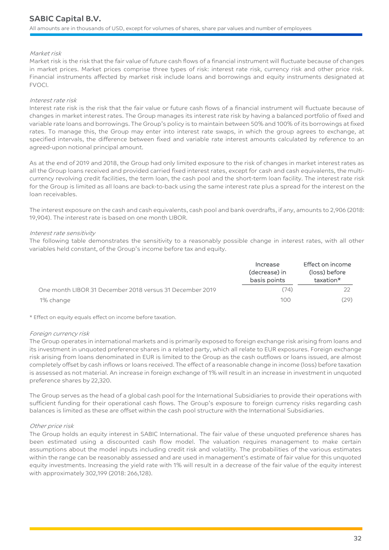#### Market risk

Market risk is the risk that the fair value of future cash flows of a financial instrument will fluctuate because of changes in market prices. Market prices comprise three types of risk: interest rate risk, currency risk and other price risk. Financial instruments affected by market risk include loans and borrowings and equity instruments designated at FVOCI.

#### Interest rate risk

Interest rate risk is the risk that the fair value or future cash flows of a financial instrument will fluctuate because of changes in market interest rates. The Group manages its interest rate risk by having a balanced portfolio of fixed and variable rate loans and borrowings. The Group's policy is to maintain between 50% and 100% of its borrowings at fixed rates. To manage this, the Group may enter into interest rate swaps, in which the group agrees to exchange, at specified intervals, the difference between fixed and variable rate interest amounts calculated by reference to an agreed-upon notional principal amount.

As at the end of 2019 and 2018, the Group had only limited exposure to the risk of changes in market interest rates as all the Group loans received and provided carried fixed interest rates, except for cash and cash equivalents, the multicurrency revolving credit facilities, the term loan, the cash pool and the short-term loan facility. The interest rate risk for the Group is limited as all loans are back-to-back using the same interest rate plus a spread for the interest on the loan receivables.

The interest exposure on the cash and cash equivalents, cash pool and bank overdrafts, if any, amounts to 2,906 (2018: 19,904). The interest rate is based on one month LIBOR.

#### Interest rate sensitivity

The following table demonstrates the sensitivity to a reasonably possible change in interest rates, with all other variables held constant, of the Group's income before tax and equity.

|                                                          | Increase<br>(decrease) in<br>basis points | Effect on income<br>(loss) before<br>taxation* |
|----------------------------------------------------------|-------------------------------------------|------------------------------------------------|
| One month LIBOR 31 December 2018 versus 31 December 2019 | (74)                                      |                                                |
| 1% change                                                | 100                                       | (29)                                           |

\* Effect on equity equals effect on income before taxation.

#### Foreign currency risk

The Group operates in international markets and is primarily exposed to foreign exchange risk arising from loans and its investment in unquoted preference shares in a related party, which all relate to EUR exposures. Foreign exchange risk arising from loans denominated in EUR is limited to the Group as the cash outflows or loans issued, are almost completely offset by cash inflows or loans received. The effect of a reasonable change in income (loss) before taxation is assessed as not material. An increase in foreign exchange of 1% will result in an increase in investment in unquoted preference shares by 22,320.

The Group serves as the head of a global cash pool for the International Subsidiaries to provide their operations with sufficient funding for their operational cash flows. The Group's exposure to foreign currency risks regarding cash balances is limited as these are offset within the cash pool structure with the International Subsidiaries.

#### Other price risk

The Group holds an equity interest in SABIC International. The fair value of these unquoted preference shares has been estimated using a discounted cash flow model. The valuation requires management to make certain assumptions about the model inputs including credit risk and volatility. The probabilities of the various estimates within the range can be reasonably assessed and are used in management's estimate of fair value for this unquoted equity investments. Increasing the yield rate with 1% will result in a decrease of the fair value of the equity interest with approximately 302,199 (2018: 266,128).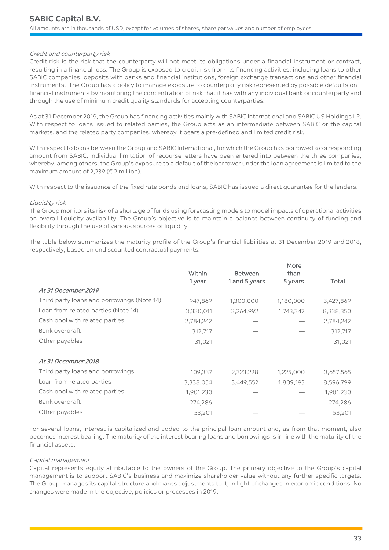#### Credit and counterparty risk

Credit risk is the risk that the counterparty will not meet its obligations under a financial instrument or contract, resulting in a financial loss. The Group is exposed to credit risk from its financing activities, including loans to other SABIC companies, deposits with banks and financial institutions, foreign exchange transactions and other financial instruments. The Group has a policy to manage exposure to counterparty risk represented by possible defaults on financial instruments by monitoring the concentration of risk that it has with any individual bank or counterparty and through the use of minimum credit quality standards for accepting counterparties.

As at 31 December 2019, the Group has financing activities mainly with SABIC International and SABIC US Holdings LP. With respect to loans issued to related parties, the Group acts as an intermediate between SABIC or the capital markets, and the related party companies, whereby it bears a pre-defined and limited credit risk.

With respect to loans between the Group and SABIC International, for which the Group has borrowed a corresponding amount from SABIC, individual limitation of recourse letters have been entered into between the three companies, whereby, among others, the Group's exposure to a default of the borrower under the loan agreement is limited to the maximum amount of 2,239 ( $\epsilon$  2 million).

With respect to the issuance of the fixed rate bonds and loans, SABIC has issued a direct guarantee for the lenders.

#### Liquidity risk

The Group monitors its risk of a shortage of funds using forecasting models to model impacts of operational activities on overall liquidity availability. The Group's objective is to maintain a balance between continuity of funding and flexibility through the use of various sources of liquidity.

The table below summarizes the maturity profile of the Group's financial liabilities at 31 December 2019 and 2018, respectively, based on undiscounted contractual payments:

|                                            |           |                | More      |           |
|--------------------------------------------|-----------|----------------|-----------|-----------|
|                                            | Within    | <b>Between</b> | than      |           |
|                                            | 1 year    | 1 and 5 years  | 5 years   | Total     |
| At 31 December 2019                        |           |                |           |           |
| Third party loans and borrowings (Note 14) | 947,869   | 1,300,000      | 1,180,000 | 3,427,869 |
| Loan from related parties (Note 14)        | 3,330,011 | 3,264,992      | 1,743,347 | 8,338,350 |
| Cash pool with related parties             | 2,784,242 |                |           | 2,784,242 |
| Bank overdraft                             | 312,717   |                |           | 312,717   |
| Other payables                             | 31,021    |                |           | 31,021    |
| At 31 December 2018                        |           |                |           |           |
| Third party loans and borrowings           | 109,337   | 2,323,228      | 1,225,000 | 3,657,565 |
| Loan from related parties                  | 3,338,054 | 3,449,552      | 1,809,193 | 8,596,799 |
| Cash pool with related parties             | 1,901,230 |                |           | 1,901,230 |
| Bank overdraft                             | 274,286   |                |           | 274,286   |
| Other payables                             | 53,201    |                |           | 53,201    |

For several loans, interest is capitalized and added to the principal loan amount and, as from that moment, also becomes interest bearing. The maturity of the interest bearing loans and borrowings is in line with the maturity of the financial assets.

#### Capital management

Capital represents equity attributable to the owners of the Group. The primary objective to the Group's capital management is to support SABIC's business and maximize shareholder value without any further specific targets. The Group manages its capital structure and makes adjustments to it, in light of changes in economic conditions. No changes were made in the objective, policies or processes in 2019.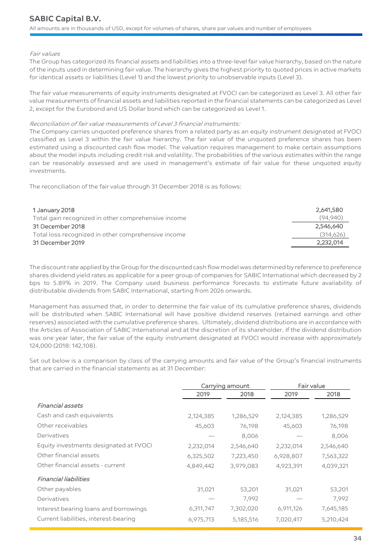#### Fair values

The Group has categorized its financial assets and liabilities into a three-level fair value hierarchy, based on the nature of the inputs used in determining fair value. The hierarchy gives the highest priority to quoted prices in active markets for identical assets or liabilities (Level 1) and the lowest priority to unobservable inputs (Level 3).

The fair value measurements of equity instruments designated at FVOCI can be categorized as Level 3. All other fair value measurements of financial assets and liabilities reported in the financial statements can be categorized as Level 2, except for the Eurobond and US Dollar bond which can be categorized as Level 1.

#### Reconciliation of fair value measurements of Level 3 financial instruments:

The Company carries unquoted preference shares from a related party as an equity instrument designated at FVOCI classified as Level 3 within the fair value hierarchy. The fair value of the unquoted preference shares has been estimated using a discounted cash flow model. The valuation requires management to make certain assumptions about the model inputs including credit risk and volatility. The probabilities of the various estimates within the range can be reasonably assessed and are used in management's estimate of fair value for these unquoted equity investments.

The reconciliation of the fair value through 31 December 2018 is as follows:

| 1 January 2018                                      | 2,641,580 |
|-----------------------------------------------------|-----------|
| Total gain recognized in other comprehensive income | (94.940)  |
| 31 December 2018                                    | 2,546,640 |
| Total loss recognized in other comprehensive income | (314,626) |
| 31 December 2019                                    | 2.232.014 |

The discount rate applied by the Group for the discounted cash flow model was determined by reference to preference shares dividend yield rates as applicable for a peer group of companies for SABIC International which decreased by 2 bps to 5.89% in 2019. The Company used business performance forecasts to estimate future availability of distributable dividends from SABIC International, starting from 2026 onwards.

Management has assumed that, in order to determine the fair value of its cumulative preference shares, dividends will be distributed when SABIC International will have positive dividend reserves (retained earnings and other reserves) associated with the cumulative preference shares. Ultimately, dividend distributions are in accordance with the Articles of Association of SABIC International and at the discretion of its shareholder. If the dividend distribution was one year later, the fair value of the equity instrument designated at FVOCI would increase with approximately 124,000 (2018: 142,108).

Set out below is a comparison by class of the carrying amounts and fair value of the Group's financial instruments that are carried in the financial statements as at 31 December:

|                                        | Carrying amount |           |           | Fair value |
|----------------------------------------|-----------------|-----------|-----------|------------|
|                                        | 2019            | 2018      | 2019      | 2018       |
| <b>Financial assets</b>                |                 |           |           |            |
| Cash and cash equivalents              | 2,124,385       | 1,286,529 | 2,124,385 | 1,286,529  |
| Other receivables                      | 45,603          | 76,198    | 45,603    | 76,198     |
| Derivatives                            |                 | 8,006     |           | 8,006      |
| Equity investments designated at FVOCI | 2,232,014       | 2,546,640 | 2,232,014 | 2,546,640  |
| Other financial assets                 | 6,325,502       | 7,223,450 | 6,928,807 | 7,563,322  |
| Other financial assets - current       | 4,849,442       | 3,979,083 | 4,923,391 | 4,039,321  |
| <b>Financial liabilities</b>           |                 |           |           |            |
| Other payables                         | 31,021          | 53,201    | 31,021    | 53,201     |
| Derivatives                            |                 | 7,992     |           | 7,992      |
| Interest bearing loans and borrowings  | 6,311,747       | 7,302,020 | 6,911,126 | 7,645,185  |
| Current liabilities, interest-bearing  | 6,975,713       | 5,185,516 | 7,020,417 | 5,210,424  |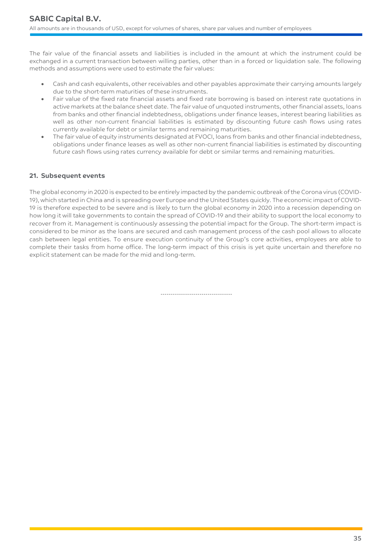The fair value of the financial assets and liabilities is included in the amount at which the instrument could be exchanged in a current transaction between willing parties, other than in a forced or liquidation sale. The following methods and assumptions were used to estimate the fair values:

- Cash and cash equivalents, other receivables and other payables approximate their carrying amounts largely due to the short-term maturities of these instruments.
- Fair value of the fixed rate financial assets and fixed rate borrowing is based on interest rate quotations in active markets at the balance sheet date. The fair value of unquoted instruments, other financial assets, loans from banks and other financial indebtedness, obligations under finance leases, interest bearing liabilities as well as other non-current financial liabilities is estimated by discounting future cash flows using rates currently available for debt or similar terms and remaining maturities.
- The fair value of equity instruments designated at FVOCI, loans from banks and other financial indebtedness, obligations under finance leases as well as other non-current financial liabilities is estimated by discounting future cash flows using rates currency available for debt or similar terms and remaining maturities.

# **21. Subsequent events**

The global economy in 2020 is expected to be entirely impacted by the pandemic outbreak of the Corona virus (COVID-19), which started in China and is spreading over Europe and the United States quickly. The economic impact of COVID-19 is therefore expected to be severe and is likely to turn the global economy in 2020 into a recession depending on how long it will take governments to contain the spread of COVID-19 and their ability to support the local economy to recover from it. Management is continuously assessing the potential impact for the Group. The short-term impact is considered to be minor as the loans are secured and cash management process of the cash pool allows to allocate cash between legal entities. To ensure execution continuity of the Group's core activities, employees are able to complete their tasks from home office. The long-term impact of this crisis is yet quite uncertain and therefore no explicit statement can be made for the mid and long-term.

-----------------------------------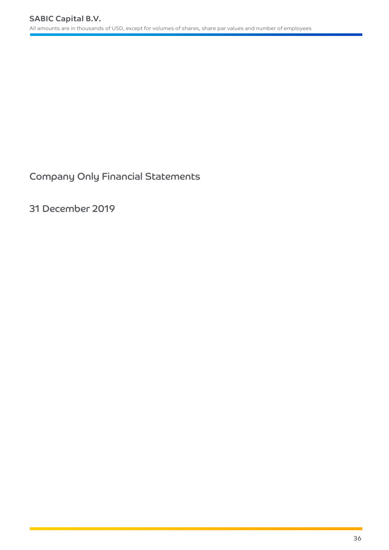Company Only Financial Statements

31 December 2019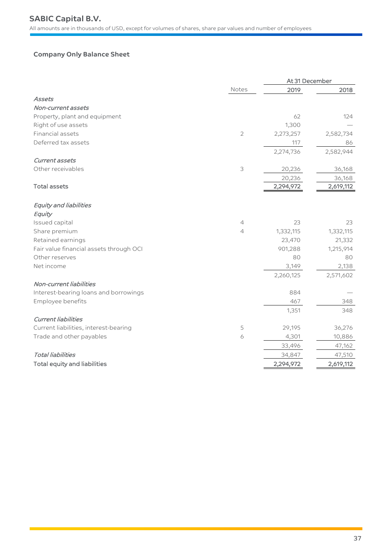# **Company Only Balance Sheet**

|                                         |                | At 31 December |           |  |
|-----------------------------------------|----------------|----------------|-----------|--|
|                                         | Notes          | 2019           | 2018      |  |
| Assets                                  |                |                |           |  |
| Non-current assets                      |                |                |           |  |
| Property, plant and equipment           |                | 62             | 124       |  |
| Right of use assets                     |                | 1,300          |           |  |
| Financial assets                        | $\mathbf{2}$   | 2,273,257      | 2,582,734 |  |
| Deferred tax assets                     |                | 117            | 86        |  |
|                                         |                | 2,274,736      | 2,582,944 |  |
| Current assets                          |                |                |           |  |
| Other receivables                       | $\mathsf 3$    | 20,236         | 36,168    |  |
|                                         |                | 20,236         | 36,168    |  |
| <b>Total assets</b>                     |                | 2,294,972      | 2,619,112 |  |
|                                         |                |                |           |  |
| <b>Equity and liabilities</b>           |                |                |           |  |
| Equity                                  |                |                |           |  |
| Issued capital                          | $\overline{4}$ | 23             | 23        |  |
| Share premium                           | $\overline{4}$ | 1,332,115      | 1,332,115 |  |
| Retained earnings                       |                | 23,470         | 21,332    |  |
| Fair value financial assets through OCI |                | 901,288        | 1,215,914 |  |
| Other reserves                          |                | 80             | 80        |  |
| Net income                              |                | 3,149          | 2,138     |  |
|                                         |                | 2,260,125      | 2,571,602 |  |
| Non-current liabilities                 |                |                |           |  |
| Interest-bearing loans and borrowings   |                | 884            |           |  |
| Employee benefits                       |                | 467            | 348       |  |
|                                         |                | 1,351          | 348       |  |
| <b>Current liabilities</b>              |                |                |           |  |
| Current liabilities, interest-bearing   | 5              | 29,195         | 36,276    |  |
| Trade and other payables                | 6              | 4,301          | 10,886    |  |
|                                         |                | 33,496         | 47,162    |  |
| <b>Total liabilities</b>                |                | 34,847         | 47,510    |  |
| <b>Total equity and liabilities</b>     |                | 2,294,972      | 2,619,112 |  |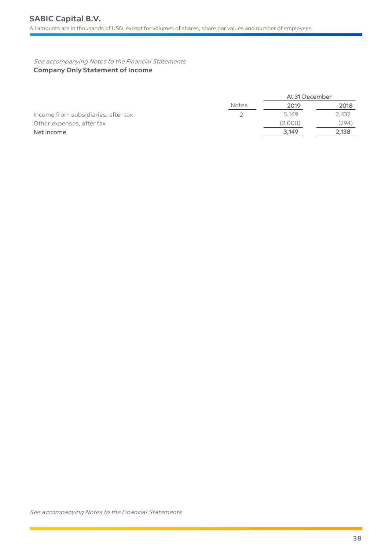See accompanying Notes to the Financial Statements **Company Only Statement of Income**

|                                     |              | At 31 December |       |  |
|-------------------------------------|--------------|----------------|-------|--|
|                                     | <b>Notes</b> | 2019           | 2018  |  |
| Income from subsidiaries, after tax |              | 5.149          | 2,432 |  |
| Other expenses, after tax           |              | (2,000)        | (294) |  |
| Net income                          |              | 3,149          | 2,138 |  |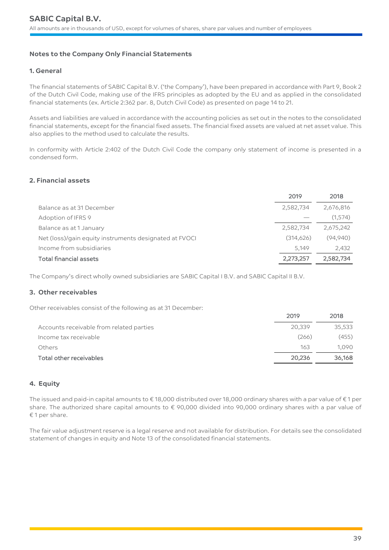# **Notes to the Company Only Financial Statements**

# **1. General**

The financial statements of SABIC Capital B.V. ('the Company'), have been prepared in accordance with Part 9, Book 2 of the Dutch Civil Code, making use of the IFRS principles as adopted by the EU and as applied in the consolidated financial statements (ex. Article 2:362 par. 8, Dutch Civil Code) as presented on page 14 to 21.

Assets and liabilities are valued in accordance with the accounting policies as set out in the notes to the consolidated financial statements, except for the financial fixed assets. The financial fixed assets are valued at net asset value. This also applies to the method used to calculate the results.

In conformity with Article 2:402 of the Dutch Civil Code the company only statement of income is presented in a condensed form.

### **2. Financial assets**

|                                                        | 2019       | 2018      |
|--------------------------------------------------------|------------|-----------|
| Balance as at 31 December                              | 2,582,734  | 2,676,816 |
| Adoption of IFRS 9                                     |            | (1,574)   |
| Balance as at 1 January                                | 2,582,734  | 2,675,242 |
| Net (loss)/gain equity instruments designated at FVOCI | (314, 626) | (94,940)  |
| Income from subsidiaries                               | 5,149      | 2,432     |
| <b>Total financial assets</b>                          | 2,273,257  | 2,582,734 |

The Company's direct wholly owned subsidiaries are SABIC Capital I B.V. and SABIC Capital II B.V.

#### **3. Other receivables**

Other receivables consist of the following as at 31 December:

|                                          | <b>ZUIY</b> | 2010.  |
|------------------------------------------|-------------|--------|
| Accounts receivable from related parties | 20.339      | 35,533 |
| Income tax receivable                    | (266)       | (455)  |
| Others                                   | 163         | 1.090  |
| Total other receivables                  | 20,236      | 36,168 |

 $2010$ 

2010

# **4. Equity**

The issued and paid-in capital amounts to € 18,000 distributed over 18,000 ordinary shares with a par value of € 1 per share. The authorized share capital amounts to € 90,000 divided into 90,000 ordinary shares with a par value of € 1 per share.

The fair value adjustment reserve is a legal reserve and not available for distribution. For details see the consolidated statement of changes in equity and Note 13 of the consolidated financial statements.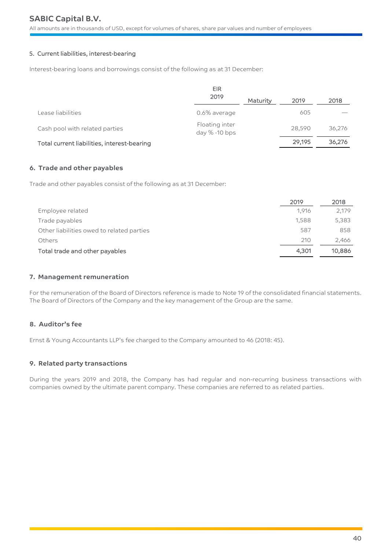# **SABIC Capital B.V.**

All amounts are in thousands of USD, except for volumes of shares, share par values and number of employees

### 5. Current liabilities, interest-bearing

Interest-bearing loans and borrowings consist of the following as at 31 December:

|                                             | EIR                             |                 |        |        |
|---------------------------------------------|---------------------------------|-----------------|--------|--------|
|                                             | 2019                            | <b>Maturity</b> | 2019   | 2018   |
| Lease liabilities                           | 0.6% average                    |                 | 605    |        |
| Cash pool with related parties              | Floating inter<br>day % -10 bps |                 | 28,590 | 36,276 |
| Total current liabilities, interest-bearing |                                 |                 | 29,195 | 36,276 |

#### **6. Trade and other payables**

Trade and other payables consist of the following as at 31 December:

|                                           | 2019  | 2018   |
|-------------------------------------------|-------|--------|
| Employee related                          | 1.916 | 2,179  |
| Trade payables                            | 1,588 | 5,383  |
| Other liabilities owed to related parties | 587   | 858    |
| Others                                    | 210   | 2,466  |
| Total trade and other payables            | 4,301 | 10,886 |

# **7. Management remuneration**

For the remuneration of the Board of Directors reference is made to Note 19 of the consolidated financial statements. The Board of Directors of the Company and the key management of the Group are the same.

# **8. Auditor's fee**

Ernst & Young Accountants LLP's fee charged to the Company amounted to 46 (2018: 45).

# **9. Related party transactions**

During the years 2019 and 2018, the Company has had regular and non-recurring business transactions with companies owned by the ultimate parent company. These companies are referred to as related parties.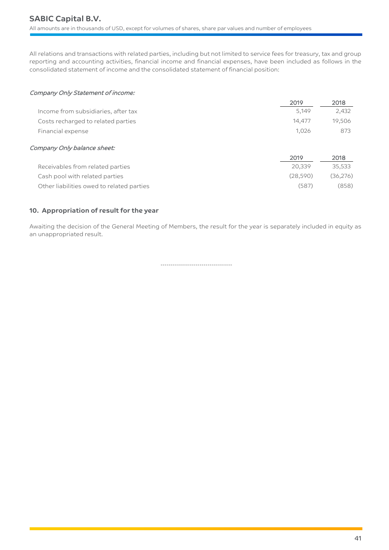All relations and transactions with related parties, including but not limited to service fees for treasury, tax and group reporting and accounting activities, financial income and financial expenses, have been included as follows in the consolidated statement of income and the consolidated statement of financial position:

# Company Only Statement of income:

|                                           | 2019      | 2018      |
|-------------------------------------------|-----------|-----------|
| Income from subsidiaries, after tax       | 5,149     | 2,432     |
| Costs recharged to related parties        | 14,477    | 19,506    |
| Financial expense                         | 1,026     | 873       |
| Company Only balance sheet:               |           |           |
|                                           | 2019      | 2018      |
| Receivables from related parties          | 20,339    | 35,533    |
| Cash pool with related parties            | (28, 590) | (36, 276) |
| Other liabilities owed to related parties | (587)     | (858)     |

# **10. Appropriation of result for the year**

Awaiting the decision of the General Meeting of Members, the result for the year is separately included in equity as an unappropriated result.

-----------------------------------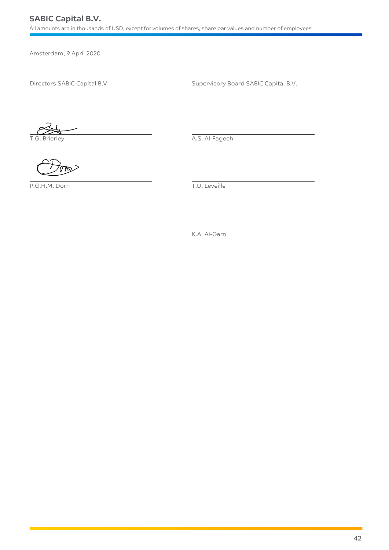# **SABIC Capital B.V.**

All amounts are in thousands of USD, except for volumes of shares, share par values and number of employees

Amsterdam, 9 April 2020

Directors SABIC Capital B.V. Supervisory Board SABIC Capital B.V.

The Team Contract of the Contract of the A.S. Al-Fageeh

P.G.H.M. Dorn T.D. Leveille

K.A. Al-Garni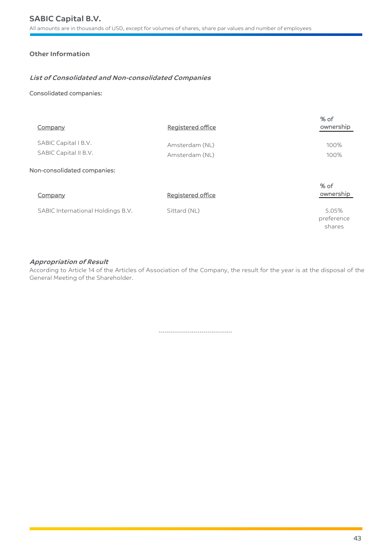# **Other Information**

# **List of Consolidated and Non-consolidated Companies**

### Consolidated companies:

| Company                                       | Registered office                | % of<br>ownership             |
|-----------------------------------------------|----------------------------------|-------------------------------|
| SABIC Capital I B.V.<br>SABIC Capital II B.V. | Amsterdam (NL)<br>Amsterdam (NL) | 100%<br>100%                  |
| Non-consolidated companies:                   |                                  |                               |
| Company                                       | Registered office                | $%$ of<br>ownership           |
| SABIC International Holdings B.V.             | Sittard (NL)                     | 5.05%<br>preference<br>shares |

# **Appropriation of Result**

According to Article 14 of the Articles of Association of the Company, the result for the year is at the disposal of the General Meeting of the Shareholder.

------------------------------------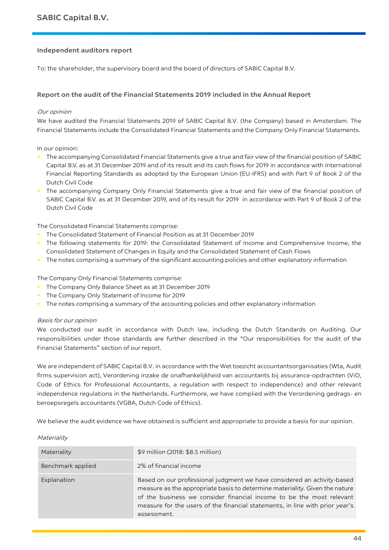### **Independent auditors report**

To: the shareholder, the supervisory board and the board of directors of SABIC Capital B.V.

### **Report on the audit of the Financial Statements 2019 included in the Annual Report**

#### Our opinion

We have audited the Financial Statements 2019 of SABIC Capital B.V. (the Company) based in Amsterdam. The Financial Statements include the Consolidated Financial Statements and the Company Only Financial Statements.

In our opinion:

- **•** The accompanying Consolidated Financial Statements give a true and fair view of the financial position of SABIC Capital B.V. as at 31 December 2019 and of its result and its cash flows for 2019 in accordance with International Financial Reporting Standards as adopted by the European Union (EU-IFRS) and with Part 9 of Book 2 of the Dutch Civil Code
- **•** The accompanying Company Only Financial Statements give a true and fair view of the financial position of SABIC Capital B.V. as at 31 December 2019, and of its result for 2019 in accordance with Part 9 of Book 2 of the Dutch Civil Code

The Consolidated Financial Statements comprise:

- **•** The Consolidated Statement of Financial Position as at 31 December 2019
- **•** The following statements for 2019: the Consolidated Statement of Income and Comprehensive Income, the Consolidated Statement of Changes in Equity and the Consolidated Statement of Cash Flows
- **•** The notes comprising a summary of the significant accounting policies and other explanatory information

The Company Only Financial Statements comprise:

- **•** The Company Only Balance Sheet as at 31 December 2019
- **•** The Company Only Statement of Income for 2019
- The notes comprising a summary of the accounting policies and other explanatory information

Basis for our opinion

We conducted our audit in accordance with Dutch law, including the Dutch Standards on Auditing. Our responsibilities under those standards are further described in the "Our responsibilities for the audit of the Financial Statements" section of our report.

We are independent of SABIC Capital B.V. in accordance with the Wet toezicht accountantsorganisaties (Wta, Audit firms supervision act), Verordening inzake de onafhankelijkheid van accountants bij assurance-opdrachten (ViO, Code of Ethics for Professional Accountants, a regulation with respect to independence) and other relevant independence regulations in the Netherlands. Furthermore, we have complied with the Verordening gedrags- en beroepsregels accountants (VGBA, Dutch Code of Ethics).

We believe the audit evidence we have obtained is sufficient and appropriate to provide a basis for our opinion.

#### **Materiality**

| Materiality       | \$9 million (2018: \$8.5 million)                                                                                                                                                                                                                                                                                             |
|-------------------|-------------------------------------------------------------------------------------------------------------------------------------------------------------------------------------------------------------------------------------------------------------------------------------------------------------------------------|
| Benchmark applied | 2% of financial income                                                                                                                                                                                                                                                                                                        |
| Explanation       | Based on our professional judgment we have considered an activity-based<br>measure as the appropriate basis to determine materiality. Given the nature<br>of the business we consider financial income to be the most relevant<br>measure for the users of the financial statements, in line with prior year's<br>assessment. |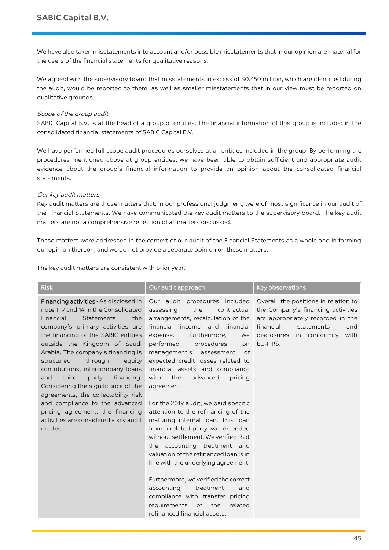We have also taken misstatements into account and/or possible misstatements that in our opinion are material for the users of the financial statements for qualitative reasons.

We agreed with the supervisory board that misstatements in excess of \$0.450 million, which are identified during the audit, would be reported to them, as well as smaller misstatements that in our view must be reported on qualitative grounds.

#### Scope of the group audit

SABIC Capital B.V. is at the head of a group of entities. The financial information of this group is included in the consolidated financial statements of SABIC Capital B.V.

We have performed full scope audit procedures ourselves at all entities included in the group. By performing the procedures mentioned above at group entities, we have been able to obtain sufficient and appropriate audit evidence about the group's financial information to provide an opinion about the consolidated financial statements.

# Our key audit matters

Key audit matters are those matters that, in our professional judgment, were of most significance in our audit of the Financial Statements. We have communicated the key audit matters to the supervisory board. The key audit matters are not a comprehensive reflection of all matters discussed.

These matters were addressed in the context of our audit of the Financial Statements as a whole and in forming our opinion thereon, and we do not provide a separate opinion on these matters.

The key audit matters are consistent with prior year.

| <b>Risk</b>                                                                                                                                                                                                                                                                                                                                                                                                                                                                                                                                                                              | Our audit approach                                                                                                                                                                                                                                                                                                                                                                                                                                                                                                                                                                                                                                                                                                                                                                                                                                                                     | Key observations                                                                                                                                                                                       |
|------------------------------------------------------------------------------------------------------------------------------------------------------------------------------------------------------------------------------------------------------------------------------------------------------------------------------------------------------------------------------------------------------------------------------------------------------------------------------------------------------------------------------------------------------------------------------------------|----------------------------------------------------------------------------------------------------------------------------------------------------------------------------------------------------------------------------------------------------------------------------------------------------------------------------------------------------------------------------------------------------------------------------------------------------------------------------------------------------------------------------------------------------------------------------------------------------------------------------------------------------------------------------------------------------------------------------------------------------------------------------------------------------------------------------------------------------------------------------------------|--------------------------------------------------------------------------------------------------------------------------------------------------------------------------------------------------------|
| Financing activities - As disclosed in<br>note 1, 9 and 14 in the Consolidated<br>Financial<br>Statements<br>the<br>company's primary activities are<br>the financing of the SABIC entities<br>outside the Kingdom of Saudi<br>Arabia. The company's financing is<br>structured<br>through<br>equity<br>contributions, intercompany loans<br>third<br>party<br>financing.<br>and<br>Considering the significance of the<br>agreements, the collectability risk<br>and compliance to the advanced<br>pricing agreement, the financing<br>activities are considered a key audit<br>matter. | Our audit procedures included<br>assessing<br>the<br>contractual<br>arrangements, recalculation of the<br>financial<br>income and financial<br>Furthermore,<br>expense.<br>we<br>performed<br>procedures<br>on<br>management's<br>assessment<br>of<br>expected credit losses related to<br>financial assets and compliance<br>with<br>the<br>advanced<br>pricing<br>agreement.<br>For the 2019 audit, we paid specific<br>attention to the refinancing of the<br>maturing internal loan. This loan<br>from a related party was extended<br>without settlement. We verified that<br>the accounting treatment and<br>valuation of the refinanced loan is in<br>line with the underlying agreement.<br>Furthermore, we verified the correct<br>accounting<br>treatment<br>and<br>compliance with transfer pricing<br>requirements<br>of<br>the<br>related<br>refinanced financial assets. | Overall, the positions in relation to<br>the Company's financing activities<br>are appropriately recorded in the<br>financial<br>statements<br>and<br>disclosures<br>in conformity<br>with<br>EU-IFRS. |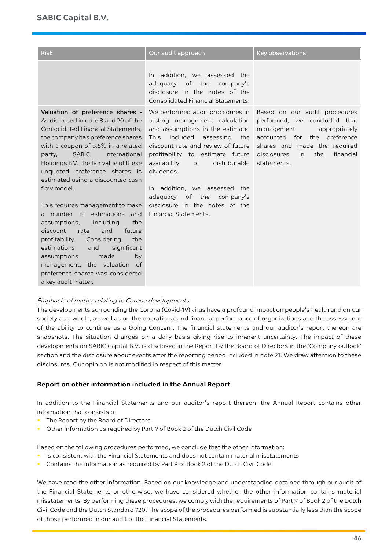| <b>Risk</b>                                                                                                                                                                                                                                                                                                                                                                                                                                                                                                                                                                                                                                                                                                         | Our audit approach                                                                                                                                                                                                                                                                                                                                                                                                  | <b>Key observations</b>                                                                                                                                                                                              |
|---------------------------------------------------------------------------------------------------------------------------------------------------------------------------------------------------------------------------------------------------------------------------------------------------------------------------------------------------------------------------------------------------------------------------------------------------------------------------------------------------------------------------------------------------------------------------------------------------------------------------------------------------------------------------------------------------------------------|---------------------------------------------------------------------------------------------------------------------------------------------------------------------------------------------------------------------------------------------------------------------------------------------------------------------------------------------------------------------------------------------------------------------|----------------------------------------------------------------------------------------------------------------------------------------------------------------------------------------------------------------------|
|                                                                                                                                                                                                                                                                                                                                                                                                                                                                                                                                                                                                                                                                                                                     | addition, we assessed the<br>In.<br>adequacy of the<br>company's<br>disclosure in the notes of the<br>Consolidated Financial Statements.                                                                                                                                                                                                                                                                            |                                                                                                                                                                                                                      |
| Valuation of preference shares -<br>As disclosed in note 8 and 20 of the<br>Consolidated Financial Statements,<br>the company has preference shares<br>with a coupon of 8.5% in a related<br><b>SABIC</b><br>International<br>party,<br>Holdings B.V. The fair value of these<br>unquoted preference shares is<br>estimated using a discounted cash<br>flow model.<br>This requires management to make<br>a number of estimations and<br>the<br>assumptions,<br>including<br>discount<br>and<br>future<br>rate<br>Considering<br>the<br>profitability.<br>estimations<br>significant<br>and<br>assumptions<br>made<br>by<br>management, the valuation of<br>preference shares was considered<br>a key audit matter. | We performed audit procedures in<br>testing management calculation<br>and assumptions in the estimate.<br><b>This</b><br>included assessing<br>the<br>discount rate and review of future<br>profitability to estimate future<br>$\circ$ f<br>distributable<br>availability<br>dividends.<br>In addition, we assessed the<br>adequacy of the<br>company's<br>disclosure in the notes of the<br>Financial Statements. | Based on our audit procedures<br>performed, we concluded that<br>appropriately<br>management<br>accounted for the preference<br>shares and made the required<br>disclosures<br>in<br>the<br>financial<br>statements. |

# Emphasis of matter relating to Corona developments

The developments surrounding the Corona (Covid-19) virus have a profound impact on people's health and on our society as a whole, as well as on the operational and financial performance of organizations and the assessment of the ability to continue as a Going Concern. The financial statements and our auditor's report thereon are snapshots. The situation changes on a daily basis giving rise to inherent uncertainty. The impact of these developments on SABIC Capital B.V. is disclosed in the Report by the Board of Directors in the 'Company outlook' section and the disclosure about events after the reporting period included in note 21. We draw attention to these disclosures. Our opinion is not modified in respect of this matter.

# **Report on other information included in the Annual Report**

In addition to the Financial Statements and our auditor's report thereon, the Annual Report contains other information that consists of:

- **•** The Report by the Board of Directors
- **•** Other information as required by Part 9 of Book 2 of the Dutch Civil Code

Based on the following procedures performed, we conclude that the other information:

- **•** Is consistent with the Financial Statements and does not contain material misstatements
- **•** Contains the information as required by Part 9 of Book 2 of the Dutch Civil Code

We have read the other information. Based on our knowledge and understanding obtained through our audit of the Financial Statements or otherwise, we have considered whether the other information contains material misstatements. By performing these procedures, we comply with the requirements of Part 9 of Book 2 of the Dutch Civil Code and the Dutch Standard 720. The scope of the procedures performed is substantially less than the scope of those performed in our audit of the Financial Statements.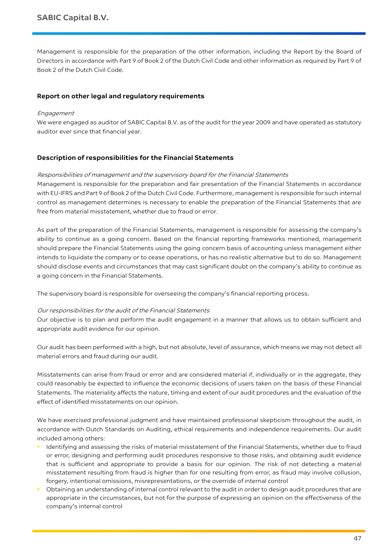Management is responsible for the preparation of the other information, including the Report by the Board of Directors in accordance with Part 9 of Book 2 of the Dutch Civil Code and other information as required by Part 9 of Book 2 of the Dutch Civil Code.

# **Report on other legal and regulatory requirements**

# Engagement

We were engaged as auditor of SABIC Capital B.V. as of the audit for the year 2009 and have operated as statutory auditor ever since that financial year.

# **Description of responsibilities for the Financial Statements**

# Responsibilities of management and the supervisory board for the Financial Statements

Management is responsible for the preparation and fair presentation of the Financial Statements in accordance with EU-IFRS and Part 9 of Book 2 of the Dutch Civil Code. Furthermore, management is responsible for such internal control as management determines is necessary to enable the preparation of the Financial Statements that are free from material misstatement, whether due to fraud or error.

As part of the preparation of the Financial Statements, management is responsible for assessing the company's ability to continue as a going concern. Based on the financial reporting frameworks mentioned, management should prepare the Financial Statements using the going concern basis of accounting unless management either intends to liquidate the company or to cease operations, or has no realistic alternative but to do so. Management should disclose events and circumstances that may cast significant doubt on the company's ability to continue as a going concern in the Financial Statements.

The supervisory board is responsible for overseeing the company's financial reporting process.

# Our responsibilities for the audit of the Financial Statements

Our objective is to plan and perform the audit engagement in a manner that allows us to obtain sufficient and appropriate audit evidence for our opinion.

Our audit has been performed with a high, but not absolute, level of assurance, which means we may not detect all material errors and fraud during our audit.

Misstatements can arise from fraud or error and are considered material if, individually or in the aggregate, they could reasonably be expected to influence the economic decisions of users taken on the basis of these Financial Statements. The materiality affects the nature, timing and extent of our audit procedures and the evaluation of the effect of identified misstatements on our opinion.

We have exercised professional judgment and have maintained professional skepticism throughout the audit, in accordance with Dutch Standards on Auditing, ethical requirements and independence requirements. Our audit included among others:

- **•** Identifying and assessing the risks of material misstatement of the Financial Statements, whether due to fraud or error, designing and performing audit procedures responsive to those risks, and obtaining audit evidence that is sufficient and appropriate to provide a basis for our opinion. The risk of not detecting a material misstatement resulting from fraud is higher than for one resulting from error, as fraud may involve collusion, forgery, intentional omissions, misrepresentations, or the override of internal control
- **•** Obtaining an understanding of internal control relevant to the audit in order to design audit procedures that are appropriate in the circumstances, but not for the purpose of expressing an opinion on the effectiveness of the company's internal control